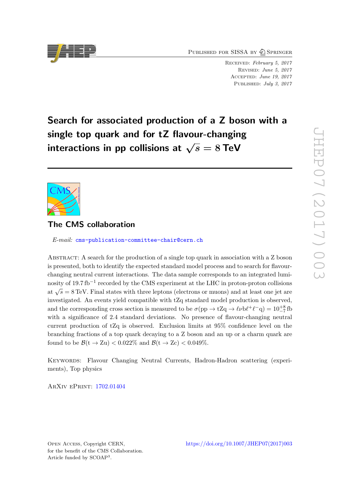PUBLISHED FOR SISSA BY 2 SPRINGER

Received: February 5, 2017 Revised: June 5, 2017 Accepted: June 19, 2017 PUBLISHED: July 3, 2017

Search for associated production of a Z boson with a single top quark and for tZ flavour-changing interactions in pp collisions at  $\sqrt{s} = 8$  TeV



# The CMS collaboration

E-mail: [cms-publication-committee-chair@cern.ch](mailto:cms-publication-committee-chair@cern.ch)

Abstract: A search for the production of a single top quark in association with a Z boson is presented, both to identify the expected standard model process and to search for flavourchanging neutral current interactions. The data sample corresponds to an integrated luminosity of 19.7 fb<sup>-1</sup> recorded by the CMS experiment at the LHC in proton-proton collisions at  $\sqrt{s} = 8$  TeV. Final states with three leptons (electrons or muons) and at least one jet are investigated. An events yield compatible with tZq standard model production is observed, and the corresponding cross section is measured to be  $\sigma(pp \to tZq \to \ell \nu b \ell^+ \ell^- q) = 10^{+8}_{-7}$  fb with a significance of 2.4 standard deviations. No presence of flavour-changing neutral current production of tZq is observed. Exclusion limits at 95% confidence level on the branching fractions of a top quark decaying to a Z boson and an up or a charm quark are found to be  $\mathcal{B}(t \to Zu) < 0.022\%$  and  $\mathcal{B}(t \to Zc) < 0.049\%$ .

Keywords: Flavour Changing Neutral Currents, Hadron-Hadron scattering (experiments), Top physics

ArXiv ePrint: [1702.01404](https://arxiv.org/abs/1702.01404)

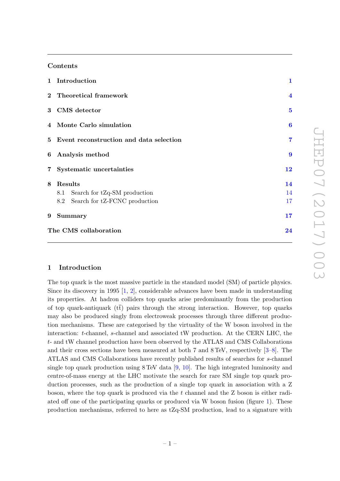# Contents

|   | 1 Introduction                            | $\mathbf{1}$            |
|---|-------------------------------------------|-------------------------|
|   | 2 Theoretical framework                   | $\overline{\mathbf{4}}$ |
|   | 3 CMS detector                            | $\overline{5}$          |
|   | 4 Monte Carlo simulation                  | $\boldsymbol{6}$        |
|   | 5 Event reconstruction and data selection | 7                       |
|   | 6 Analysis method                         | 9                       |
|   | 7 Systematic uncertainties                | 12                      |
| 8 | Results                                   | 14                      |
|   | 8.1 Search for tZq-SM production          | 14                      |
|   | 8.2 Search for tZ-FCNC production         | 17                      |
|   | 9 Summary                                 | 17                      |
|   | The CMS collaboration                     | 24                      |

# <span id="page-1-0"></span>1 Introduction

The top quark is the most massive particle in the standard model (SM) of particle physics. Since its discovery in 1995 [\[1,](#page-19-0) [2\]](#page-19-1), considerable advances have been made in understanding its properties. At hadron colliders top quarks arise predominantly from the production of top quark-antiquark  $(t\bar{t})$  pairs through the strong interaction. However, top quarks may also be produced singly from electroweak processes through three different production mechanisms. These are categorised by the virtuality of the W boson involved in the interaction: t-channel, s-channel and associated tW production. At the CERN LHC, the t- and tW channel production have been observed by the ATLAS and CMS Collaborations and their cross sections have been measured at both 7 and 8 TeV, respectively [\[3–](#page-20-0)[8\]](#page-20-1). The ATLAS and CMS Collaborations have recently published results of searches for s-channel single top quark production using  $8 \text{ TeV}$  data [\[9,](#page-20-2) [10\]](#page-20-3). The high integrated luminosity and centre-of-mass energy at the LHC motivate the search for rare SM single top quark production processes, such as the production of a single top quark in association with a Z boson, where the top quark is produced via the  $t$  channel and the  $Z$  boson is either radiated off one of the participating quarks or produced via W boson fusion (figure [1\)](#page-3-0). These production mechanisms, referred to here as tZq-SM production, lead to a signature with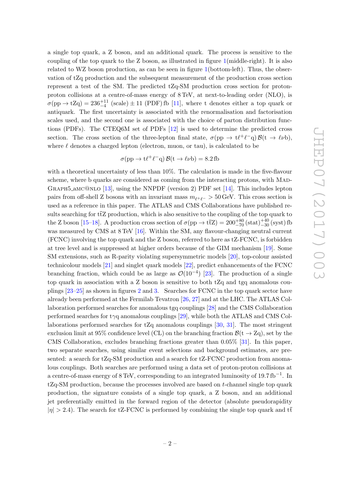a single top quark, a Z boson, and an additional quark. The process is sensitive to the coupling of the top quark to the  $Z$  boson, as illustrated in figure  $1$ (middle-right). It is also related to WZ boson production, as can be seen in figure [1\(](#page-3-0)bottom-left). Thus, the observation of tZq production and the subsequent measurement of the production cross section represent a test of the SM. The predicted tZq-SM production cross section for protonproton collisions at a centre-of-mass energy of 8 TeV, at next-to-leading order (NLO), is  $\sigma(pp \to tZq) = 236^{+11}_{-4}$  (scale)  $\pm 11$  (PDF) fb [\[11\]](#page-20-4), where t denotes either a top quark or antiquark. The first uncertainty is associated with the renormalisation and factorisation scales used, and the second one is associated with the choice of parton distribution functions (PDFs). The CTEQ6M set of PDFs [\[12\]](#page-20-5) is used to determine the predicted cross section. The cross section of the three-lepton final state,  $\sigma(pp \to t\ell^+\ell^- q) \mathcal{B}(t \to \ell \nu b)$ , where  $\ell$  denotes a charged lepton (electron, muon, or tau), is calculated to be

$$
\sigma(pp \to t\ell^+\ell^- q) \mathcal{B}(t \to \ell \nu b) = 8.2 \text{ fb}
$$

with a theoretical uncertainty of less than 10%. The calculation is made in the five-flavour scheme, where b quarks are considered as coming from the interacting protons, with MAD-GRAPH5 aMC@NLO [\[13\]](#page-20-6), using the NNPDF (version 2) PDF set [\[14\]](#page-20-7). This includes lepton pairs from off-shell Z bosons with an invariant mass  $m_{\ell^+\ell^-} > 50$  GeV. This cross section is used as a reference in this paper. The ATLAS and CMS Collaborations have published results searching for  $t\bar{t}Z$  production, which is also sensitive to the coupling of the top quark to the Z boson [\[15](#page-20-8)[–18\]](#page-20-9). A production cross section of  $\sigma(pp \to t\bar{t}Z) = 200^{+80}_{-70} (\text{stat})^{+40}_{-30} (\text{syst})$  fb was measured by CMS at 8 TeV [\[16\]](#page-20-10). Within the SM, any flavour-changing neutral current (FCNC) involving the top quark and the Z boson, referred to here as tZ-FCNC, is forbidden at tree level and is suppressed at higher orders because of the GIM mechanism [\[19\]](#page-21-0). Some SM extensions, such as R-parity violating supersymmetric models [\[20\]](#page-21-1), top-colour assisted technicolour models [\[21\]](#page-21-2) and singlet quark models [\[22\]](#page-21-3), predict enhancements of the FCNC branching fraction, which could be as large as  $\mathcal{O}(10^{-4})$  [\[23\]](#page-21-4). The production of a single top quark in association with a Z boson is sensitive to both tZq and tgq anomalous couplings [\[23–](#page-21-4)[25\]](#page-21-5) as shown in figures [2](#page-4-1) and [3.](#page-4-2) Searches for FCNC in the top quark sector have already been performed at the Fermilab Tevatron [\[26,](#page-21-6) [27\]](#page-21-7) and at the LHC. The ATLAS Collaboration performed searches for anomalous tgq couplings [\[28\]](#page-21-8) and the CMS Collaboration performed searches for t $\gamma q$  anomalous couplings [\[29\]](#page-21-9), while both the ATLAS and CMS Collaborations performed searches for tZq anomalous couplings [\[30,](#page-21-10) [31\]](#page-21-11). The most stringent exclusion limit at 95% confidence level (CL) on the branching fraction  $\mathcal{B}(t \to Z_q)$ , set by the CMS Collaboration, excludes branching fractions greater than 0.05% [\[31\]](#page-21-11). In this paper, two separate searches, using similar event selections and background estimates, are presented: a search for tZq-SM production and a search for tZ-FCNC production from anomalous couplings. Both searches are performed using a data set of proton-proton collisions at a centre-of-mass energy of 8 TeV, corresponding to an integrated luminosity of 19.7 fb<sup>-1</sup>. In  $tZq-SM$  production, because the processes involved are based on  $t$ -channel single top quark production, the signature consists of a single top quark, a Z boson, and an additional jet preferentially emitted in the forward region of the detector (absolute pseudorapidity  $|\eta| > 2.4$ ). The search for tZ-FCNC is performed by combining the single top quark and  $t\bar{t}$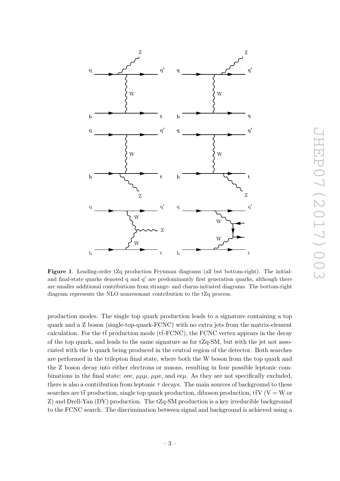

<span id="page-3-0"></span>Figure 1. Leading-order tZq production Feynman diagrams (all but bottom-right). The initialand final-state quarks denoted q and  $q'$  are predominantly first generation quarks, although there are smaller additional contributions from strange- and charm-initiated diagrams. The bottom-right diagram represents the NLO nonresonant contribution to the tZq process.

production modes. The single top quark production leads to a signature containing a top quark and a Z boson (single-top-quark-FCNC) with no extra jets from the matrix-element calculation. For the  $t\bar{t}$  production mode ( $t\bar{t}$ -FCNC), the FCNC vertex appears in the decay of the top quark, and leads to the same signature as for tZq-SM, but with the jet not associated with the b quark being produced in the central region of the detector. Both searches are performed in the trilepton final state, where both the W boson from the top quark and the Z boson decay into either electrons or muons, resulting in four possible leptonic combinations in the final state: eee,  $\mu\mu\mu$ ,  $\mu\mu$ e, and ee $\mu$ . As they are not specifically excluded, there is also a contribution from leptonic  $\tau$  decays. The main sources of background to these searches are tt production, single top quark production, diboson production,  $t\bar{t}V$  (V = W or Z) and Drell-Yan (DY) production. The tZq-SM production is a key irreducible background to the FCNC search. The discrimination between signal and background is achieved using a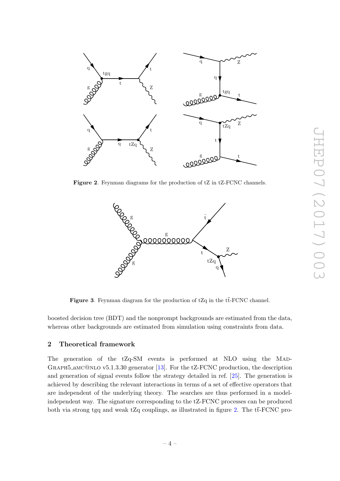

Figure 2. Feynman diagrams for the production of tZ in tZ-FCNC channels.

<span id="page-4-1"></span>

<span id="page-4-2"></span>Figure 3. Feynman diagram for the production of  $tZq$  in the  $t\bar{t}$ -FCNC channel.

boosted decision tree (BDT) and the nonprompt backgrounds are estimated from the data, whereas other backgrounds are estimated from simulation using constraints from data.

# <span id="page-4-0"></span>2 Theoretical framework

The generation of the  $tZq-SM$  events is performed at NLO using the MAD-GRAPH5 aMC@NLO v5.1.3.30 generator [\[13\]](#page-20-6). For the tZ-FCNC production, the description and generation of signal events follow the strategy detailed in ref. [\[25\]](#page-21-5). The generation is achieved by describing the relevant interactions in terms of a set of effective operators that are independent of the underlying theory. The searches are thus performed in a modelindependent way. The signature corresponding to the tZ-FCNC processes can be produced both via strong tgq and weak tZq couplings, as illustrated in figure [2.](#page-4-1) The  $t\bar{t}$ -FCNC pro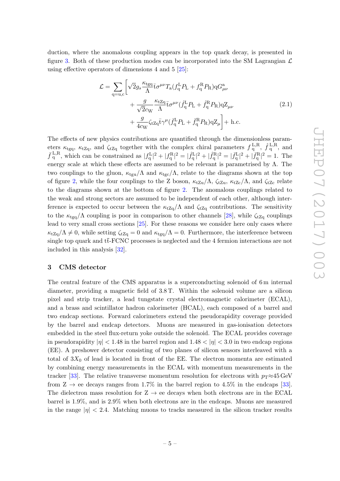duction, where the anomalous coupling appears in the top quark decay, is presented in figure [3.](#page-4-2) Both of these production modes can be incorporated into the SM Lagrangian  $\mathcal L$ using effective operators of dimensions 4 and 5 [\[25\]](#page-21-5):

$$
\mathcal{L} = \sum_{\mathbf{q}=\mathbf{u},\mathbf{c}} \left[ \sqrt{2} g_s \frac{\kappa_{\text{tgq}}}{\Lambda} \mathbf{\bar{t}} \sigma^{\mu\nu} T_{\mathbf{a}} (f_{\mathbf{q}}^{\mathbf{L}} P_{\mathbf{L}} + f_{\mathbf{q}}^{\mathbf{R}} P_{\mathbf{R}}) \mathbf{q} G_{\mu\nu}^{\mathbf{a}} + \frac{g}{\sqrt{2} c_{\mathbf{W}}} \frac{\kappa_{\text{tZq}}}{\Lambda} \mathbf{\bar{t}} \sigma^{\mu\nu} (f_{\mathbf{q}}^{\mathbf{L}} P_{\mathbf{L}} + f_{\mathbf{q}}^{\mathbf{R}} P_{\mathbf{R}}) \mathbf{q} Z_{\mu\nu} + \frac{g}{4 c_{\mathbf{W}}} \zeta_{\text{tZq}} \mathbf{\bar{t}} \gamma^{\mu} (f_{\mathbf{q}}^{\mathbf{L}} P_{\mathbf{L}} + f_{\mathbf{q}}^{\mathbf{R}} P_{\mathbf{R}}) \mathbf{q} Z_{\mu} \right] + \text{ h.c.}
$$
\n(2.1)

<span id="page-5-1"></span>The effects of new physics contributions are quantified through the dimensionless parameters  $\kappa_{\text{tgq}}, \ \kappa_{\text{tZq}},$  and  $\zeta_{\text{tZq}}$  together with the complex chiral parameters  $f_q^{\text{L,R}}, \hat{f}_q^{\text{L,R}},$  and  $\bar{f}_{q}^{L,R}$ , which can be constrained as  $|f_{q}^{L}|^{2} + |f_{q}^{R}|^{2} = |\hat{f}_{q}^{L}|^{2} + |\hat{f}_{q}^{R}|^{2} = |\bar{f}_{q}^{L}|^{2} + |\bar{f}_{q}^{R}|^{2} = 1$ . The energy scale at which these effects are assumed to be relevant is parametrised by  $\Lambda$ . The two couplings to the gluon,  $\kappa_{\text{tgu}}/\Lambda$  and  $\kappa_{\text{tgc}}/\Lambda$ , relate to the diagrams shown at the top of figure [2,](#page-4-1) while the four couplings to the Z boson,  $\kappa_{tZu}/\Lambda$ ,  $\zeta_{tZu}$ ,  $\kappa_{tZc}/\Lambda$ , and  $\zeta_{tZc}$  relate to the diagrams shown at the bottom of figure [2.](#page-4-1) The anomalous couplings related to the weak and strong sectors are assumed to be independent of each other, although interference is expected to occur between the  $\kappa_{tZq}/\Lambda$  and  $\zeta_{tZq}$  contributions. The sensitivity to the  $\kappa_{\text{tga}}/\Lambda$  coupling is poor in comparison to other channels [\[28\]](#page-21-8), while  $\zeta_{\text{tZq}}$  couplings lead to very small cross sections [\[25\]](#page-21-5). For these reasons we consider here only cases where  $\kappa_{tZq}/\Lambda \neq 0$ , while setting  $\zeta_{tZq} = 0$  and  $\kappa_{tqq}/\Lambda = 0$ . Furthermore, the interference between single top quark and  $t\bar{t}$ -FCNC processes is neglected and the 4 fermion interactions are not included in this analysis [\[32\]](#page-21-12).

### <span id="page-5-0"></span>3 CMS detector

The central feature of the CMS apparatus is a superconducting solenoid of 6 m internal diameter, providing a magnetic field of 3.8 T. Within the solenoid volume are a silicon pixel and strip tracker, a lead tungstate crystal electromagnetic calorimeter (ECAL), and a brass and scintillator hadron calorimeter (HCAL), each composed of a barrel and two endcap sections. Forward calorimeters extend the pseudorapidity coverage provided by the barrel and endcap detectors. Muons are measured in gas-ionisation detectors embedded in the steel flux-return yoke outside the solenoid. The ECAL provides coverage in pseudorapidity  $|\eta| < 1.48$  in the barrel region and  $1.48 < |\eta| < 3.0$  in two endcap regions (EE). A preshower detector consisting of two planes of silicon sensors interleaved with a total of  $3X_0$  of lead is located in front of the EE. The electron momenta are estimated by combining energy measurements in the ECAL with momentum measurements in the tracker [\[33\]](#page-21-13). The relative transverse momentum resolution for electrons with  $p_T \approx 45$  GeV from  $Z \rightarrow$  ee decays ranges from 1.7% in the barrel region to 4.5% in the endcaps [\[33\]](#page-21-13). The dielectron mass resolution for  $Z \rightarrow ee$  decays when both electrons are in the ECAL barrel is 1.9%, and is 2.9% when both electrons are in the endcaps. Muons are measured in the range  $|\eta| < 2.4$ . Matching muons to tracks measured in the silicon tracker results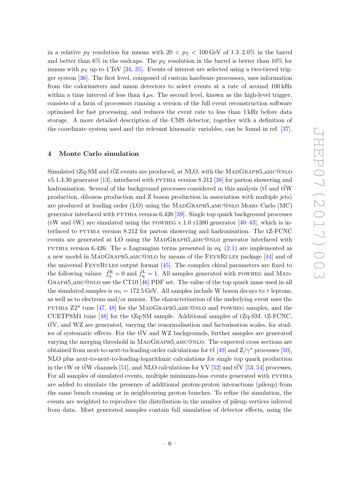in a relative  $p_T$  resolution for muons with  $20 < p_T < 100$  GeV of 1.3–2.0% in the barrel and better than 6% in the endcaps. The  $p_T$  resolution in the barrel is better than 10% for muons with  $p_T$  up to 1 TeV [\[34,](#page-21-14) [35\]](#page-22-0). Events of interest are selected using a two-tiered trigger system [\[36\]](#page-22-1). The first level, composed of custom hardware processors, uses information from the calorimeters and muon detectors to select events at a rate of around 100 kHz within a time interval of less than  $4 \mu s$ . The second level, known as the high-level trigger, consists of a farm of processors running a version of the full event reconstruction software optimised for fast processing, and reduces the event rate to less than 1 kHz before data storage. A more detailed description of the CMS detector, together with a definition of the coordinate system used and the relevant kinematic variables, can be found in ref. [\[37\]](#page-22-2).

# <span id="page-6-0"></span>4 Monte Carlo simulation

Simulated tZq-SM and  $t\bar{t}Z$  events are produced, at NLO, with the MADGRAPH5 aMC@NLO  $v5.1.3.30$  generator [\[13\]](#page-20-6), interfaced with PYTHIA version 8.212 [\[38\]](#page-22-3) for parton showering and hadronisation. Several of the background processes considered in this analysis ( $t\bar{t}$  and  $t\bar{t}W$ production, diboson production and Z boson production in association with multiple jets) are produced at leading order (LO) using the MadGraph5 amc@nlo Monte Carlo (MC) generator interfaced with PYTHIA version  $6.426$  [\[39\]](#page-22-4). Single top quark background processes (tW and  $\bar{t}$ W) are simulated using the POWHEG v.1.0 r1380 generator [\[40–](#page-22-5)[43\]](#page-22-6), which is interfaced to pythia version 8.212 for parton showering and hadronisation. The tZ-FCNC events are generated at LO using the MADGRAPH5 aMC@NLO generator interfaced with pyTHIA version 6.426. The κ Lagrangian terms presented in eq. [\(2.1\)](#page-5-1) are implemented as a new model in MadGraph5 amc@nlo by means of the FeynRules package [\[44\]](#page-22-7) and of the universal FeynRules output format [\[45\]](#page-22-8). The complex chiral parameters are fixed to the following values:  $\hat{f}_{q}^{R} = 0$  and  $\hat{f}_{q}^{L} = 1$ . All samples generated with POWHEG and MAD-Graph5 amc@nlo use the CT10 [\[46\]](#page-22-9) PDF set. The value of the top quark mass used in all the simulated samples is  $m_t = 172.5$  GeV. All samples include W boson decays to  $\tau$  leptons, as well as to electrons and/or muons. The characterisation of the underlying event uses the pythia Z2\* tune [\[47,](#page-22-10) [48\]](#page-22-11) for the MadGraph5 amc@nlo and powheg samples, and the CUETP8M1 tune  $[48]$  for the tZq-SM sample. Additional samples of tZq-SM, tZ-FCNC,  $\text{t}$ V, and WZ are generated, varying the renormalisation and factorisation scales, for studies of systematic effects. For the  $\text{t\bar{t}V}$  and WZ backgrounds, further samples are generated varying the merging threshold in MADGRAPH5\_aMC@NLO. The expected cross sections are obtained from next-to-next-to-leading-order calculations for  $t\bar{t}$  [\[49\]](#page-22-12) and  $Z/\gamma^*$  processes [\[50\]](#page-22-13), NLO plus next-to-next-to-leading-logarithmic calculations for single top quark production in the tW or ttw channels [\[51\]](#page-22-14), and NLO calculations for VV [\[52\]](#page-22-15) and  $\mathrm{t\bar{t}V}$  [\[53,](#page-23-0) [54\]](#page-23-1) processes. For all samples of simulated events, multiple minimum-bias events generated with PYTHIA are added to simulate the presence of additional proton-proton interactions (pileup) from the same bunch crossing or in neighbouring proton bunches. To refine the simulation, the events are weighted to reproduce the distribution in the number of pileup vertices inferred from data. Most generated samples contain full simulation of detector effects, using the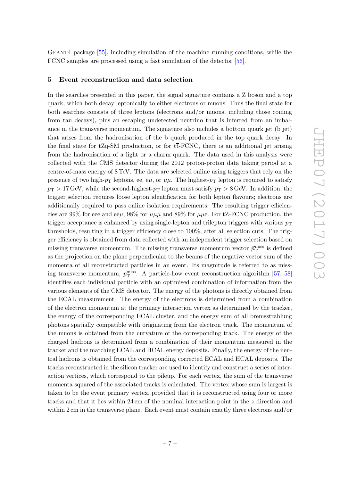GEANT4 package [\[55\]](#page-23-2), including simulation of the machine running conditions, while the FCNC samples are processed using a fast simulation of the detector [\[56\]](#page-23-3).

### <span id="page-7-0"></span>5 Event reconstruction and data selection

In the searches presented in this paper, the signal signature contains a Z boson and a top quark, which both decay leptonically to either electrons or muons. Thus the final state for both searches consists of three leptons (electrons and/or muons, including those coming from tau decays), plus an escaping undetected neutrino that is inferred from an imbalance in the transverse momentum. The signature also includes a bottom quark jet (b jet) that arises from the hadronisation of the b quark produced in the top quark decay. In the final state for tZq-SM production, or for  $t\bar{t}$ -FCNC, there is an additional jet arising from the hadronisation of a light or a charm quark. The data used in this analysis were collected with the CMS detector during the 2012 proton-proton data taking period at a centre-of-mass energy of 8 TeV. The data are selected online using triggers that rely on the presence of two high- $p_T$  leptons, ee, e $\mu$ , or  $\mu\mu$ . The highest- $p_T$  lepton is required to satisfy  $p_{\rm T} > 17$  GeV, while the second-highest- $p_{\rm T}$  lepton must satisfy  $p_{\rm T} > 8$  GeV. In addition, the trigger selection requires loose lepton identification for both lepton flavours; electrons are additionally required to pass online isolation requirements. The resulting trigger efficiencies are 99% for eee and ee $\mu$ , 98% for  $\mu\mu\mu$  and 89% for  $\mu\mu e$ . For tZ-FCNC production, the trigger acceptance is enhanced by using single-lepton and trilepton triggers with various  $p_T$ thresholds, resulting in a trigger efficiency close to 100%, after all selection cuts. The trigger efficiency is obtained from data collected with an independent trigger selection based on missing transverse momentum. The missing transverse momentum vector  $\vec{p}_{\text{T}}^{\text{miss}}$  is defined as the projection on the plane perpendicular to the beams of the negative vector sum of the momenta of all reconstructed particles in an event. Its magnitude is referred to as missing transverse momentum,  $p_T^{\text{miss}}$ . A particle-flow event reconstruction algorithm [\[57,](#page-23-4) [58\]](#page-23-5) identifies each individual particle with an optimised combination of information from the various elements of the CMS detector. The energy of the photons is directly obtained from the ECAL measurement. The energy of the electrons is determined from a combination of the electron momentum at the primary interaction vertex as determined by the tracker, the energy of the corresponding ECAL cluster, and the energy sum of all bremsstrahlung photons spatially compatible with originating from the electron track. The momentum of the muons is obtained from the curvature of the corresponding track. The energy of the charged hadrons is determined from a combination of their momentum measured in the tracker and the matching ECAL and HCAL energy deposits. Finally, the energy of the neutral hadrons is obtained from the corresponding corrected ECAL and HCAL deposits. The tracks reconstructed in the silicon tracker are used to identify and construct a series of interaction vertices, which correspond to the pileup. For each vertex, the sum of the transverse momenta squared of the associated tracks is calculated. The vertex whose sum is largest is taken to be the event primary vertex, provided that it is reconstructed using four or more tracks and that it lies within 24 cm of the nominal interaction point in the z direction and within 2 cm in the transverse plane. Each event must contain exactly three electrons and/or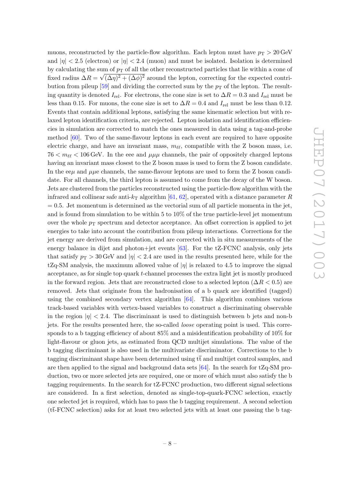muons, reconstructed by the particle-flow algorithm. Each lepton must have  $p_T > 20 \,\text{GeV}$ and  $|\eta| < 2.5$  (electron) or  $|\eta| < 2.4$  (muon) and must be isolated. Isolation is determined by calculating the sum of  $p_T$  of all the other reconstructed particles that lie within a cone of fixed radius  $\Delta R = \sqrt{(\Delta \eta)^2 + (\Delta \phi)^2}$  around the lepton, correcting for the expected contri-bution from pileup [\[59\]](#page-23-6) and dividing the corrected sum by the  $p<sub>T</sub>$  of the lepton. The resulting quantity is denoted  $I_{rel}$ . For electrons, the cone size is set to  $\Delta R = 0.3$  and  $I_{rel}$  must be less than 0.15. For muons, the cone size is set to  $\Delta R = 0.4$  and  $I_{rel}$  must be less than 0.12. Events that contain additional leptons, satisfying the same kinematic selection but with relaxed lepton identification criteria, are rejected. Lepton isolation and identification efficiencies in simulation are corrected to match the ones measured in data using a tag-and-probe method [\[60\]](#page-23-7). Two of the same-flavour leptons in each event are required to have opposite electric charge, and have an invariant mass,  $m_{\ell\ell}$ , compatible with the Z boson mass, i.e.  $76 < m_{\ell\ell} < 106$  GeV. In the eee and  $\mu\mu\mu$  channels, the pair of oppositely charged leptons having an invariant mass closest to the Z boson mass is used to form the Z boson candidate. In the eeu and  $\mu\mu$ e channels, the same-flavour leptons are used to form the Z boson candidate. For all channels, the third lepton is assumed to come from the decay of the W boson. Jets are clustered from the particles reconstructed using the particle-flow algorithm with the infrared and collinear safe anti- $k_{\text{t}}$  algorithm [\[61,](#page-23-8) [62\]](#page-23-9), operated with a distance parameter R  $= 0.5.$  Jet momentum is determined as the vectorial sum of all particle momenta in the jet, and is found from simulation to be within 5 to 10% of the true particle-level jet momentum over the whole  $p_T$  spectrum and detector acceptance. An offset correction is applied to jet energies to take into account the contribution from pileup interactions. Corrections for the jet energy are derived from simulation, and are corrected with in situ measurements of the energy balance in dijet and photon+jet events  $[63]$ . For the tZ-FCNC analysis, only jets that satisfy  $p_T > 30$  GeV and  $|\eta| < 2.4$  are used in the results presented here, while for the tZq-SM analysis, the maximum allowed value of  $|\eta|$  is relaxed to 4.5 to improve the signal acceptance, as for single top quark t-channel processes the extra light jet is mostly produced in the forward region. Jets that are reconstructed close to a selected lepton ( $\Delta R < 0.5$ ) are removed. Jets that originate from the hadronisation of a b quark are identified (tagged) using the combined secondary vertex algorithm [\[64\]](#page-23-11). This algorithm combines various track-based variables with vertex-based variables to construct a discriminating observable in the region  $|\eta| < 2.4$ . The discriminant is used to distinguish between b jets and non-b jets. For the results presented here, the so-called *loose* operating point is used. This corresponds to a b tagging efficiency of about 85% and a misidentification probability of 10% for light-flavour or gluon jets, as estimated from QCD multijet simulations. The value of the b tagging discriminant is also used in the multivariate discriminator. Corrections to the b tagging discriminant shape have been determined using  $t\bar{t}$  and multijet control samples, and are then applied to the signal and background data sets  $[64]$ . In the search for tZq-SM production, two or more selected jets are required, one or more of which must also satisfy the b tagging requirements. In the search for tZ-FCNC production, two different signal selections are considered. In a first selection, denoted as single-top-quark-FCNC selection, exactly one selected jet is required, which has to pass the b tagging requirement. A second selection  $(t\bar{t}$ -FCNC selection) asks for at least two selected jets with at least one passing the b tag-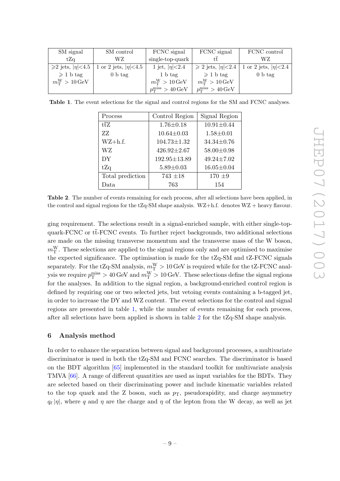| SM signal                               | SM control                  | FCNC signal                             | FCNC signal                             | FCNC control                |
|-----------------------------------------|-----------------------------|-----------------------------------------|-----------------------------------------|-----------------------------|
| tZq                                     | WZ                          | single-top-quark                        |                                         | WZ                          |
| $\geq 2$ jets, $ \eta $ < 4.5           | 1 or 2 jets, $ \eta $ < 4.5 | 1 jet, $ \eta $ < 2.4                   | $\geq 2$ jets, $ \eta $ < 2.4           | 1 or 2 jets, $ \eta $ < 2.4 |
| $\geqslant$ 1 b tag                     | 0 b tag                     | 1 b tag                                 | $\geqslant$ 1 b tag                     | 0 b tag                     |
| $m_{\rm T}^{\rm W} > 10 \,\mathrm{GeV}$ |                             | $m_{\rm T}^{\rm W} > 10 \,\mathrm{GeV}$ | $m_{\rm T}^{\rm W} > 10 \,\mathrm{GeV}$ |                             |
|                                         |                             | $p_T^{\text{miss}} > 40 \,\text{GeV}$   | $p_T^{\text{miss}} > 40 \,\text{GeV}$   |                             |

<span id="page-9-1"></span>Table 1. The event selections for the signal and control regions for the SM and FCNC analyses.

| Process          | Control Region     | Signal Region    |
|------------------|--------------------|------------------|
| ttZ              | $1.76 \pm 0.18$    | $10.91 \pm 0.44$ |
| ZZ.              | $10.64 \pm 0.03$   | $1.58 \pm 0.01$  |
| $WZ + h.f.$      | $104.73 \pm 1.32$  | $34.34 \pm 0.76$ |
| WΖ               | $426.92 \pm 2.67$  | $58.00 \pm 0.98$ |
| DY               | $192.95 \pm 13.89$ | $49.24 \pm 7.02$ |
| tZq              | $5.89 \pm 0.03$    | $16.05 \pm 0.04$ |
| Total prediction | $743 \pm 18$       | $170 + 9$        |
| Data.            | 763                | 154              |

<span id="page-9-2"></span>Table 2. The number of events remaining for each process, after all selections have been applied, in the control and signal regions for the tZq-SM shape analysis. WZ+h.f. denotes WZ + heavy flavour.

ging requirement. The selections result in a signal-enriched sample, with either single-topquark-FCNC or  $t\bar{t}$ -FCNC events. To further reject backgrounds, two additional selections are made on the missing transverse momentum and the transverse mass of the W boson,  $m_{\rm T}^{\rm W}$ . These selections are applied to the signal regions only and are optimised to maximise the expected significance. The optimisation is made for the tZq-SM and tZ-FCNC signals separately. For the tZq-SM analysis,  $m_{\rm T}^{\rm W} > 10\,{\rm GeV}$  is required while for the tZ-FCNC analysis we require  $p_{\rm T}^{\rm miss} > 40\,{\rm GeV}$  and  $m_{\rm T}^{\rm W} > 10\,{\rm GeV}$ . These selections define the signal regions for the analyses. In addition to the signal region, a background-enriched control region is defined by requiring one or two selected jets, but vetoing events containing a b-tagged jet, in order to increase the DY and WZ content. The event selections for the control and signal regions are presented in table [1,](#page-9-1) while the number of events remaining for each process, after all selections have been applied is shown in table [2](#page-9-2) for the tZq-SM shape analysis.

### <span id="page-9-0"></span>6 Analysis method

In order to enhance the separation between signal and background processes, a multivariate discriminator is used in both the tZq-SM and FCNC searches. The discriminator is based on the BDT algorithm [\[65\]](#page-23-12) implemented in the standard toolkit for multivariate analysis TMVA [\[66\]](#page-23-13). A range of different quantities are used as input variables for the BDTs. They are selected based on their discriminating power and include kinematic variables related to the top quark and the Z boson, such as  $p<sub>T</sub>$ , pseudorapidity, and charge asymmetry  $q_{\ell}$  |η|, where q and η are the charge and η of the lepton from the W decay, as well as jet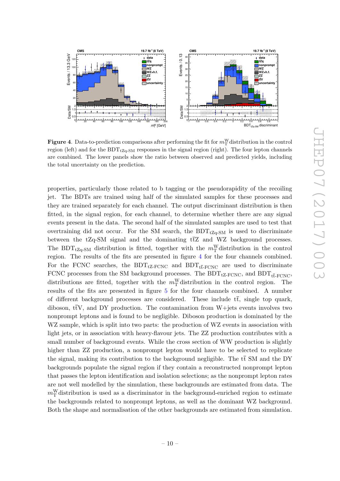

<span id="page-10-0"></span>**Figure 4.** Data-to-prediction comparisons after performing the fit for  $m_{\rm T}^{\rm W}$  distribution in the control region (left) and for the  $BDT_{tZq\text{-}SM}$  responses in the signal region (right). The four lepton channels are combined. The lower panels show the ratio between observed and predicted yields, including the total uncertainty on the prediction.

properties, particularly those related to b tagging or the pseudorapidity of the recoiling jet. The BDTs are trained using half of the simulated samples for these processes and they are trained separately for each channel. The output discriminant distribution is then fitted, in the signal region, for each channel, to determine whether there are any signal events present in the data. The second half of the simulated samples are used to test that overtraining did not occur. For the SM search, the  $BDT_{tZq-SM}$  is used to discriminate between the tZq-SM signal and the dominating  $t\bar{t}Z$  and WZ background processes. The BDT<sub>tZq-SM</sub> distribution is fitted, together with the  $m_{\rm T}^{\rm W}$ distribution in the control region. The results of the fits are presented in figure [4](#page-10-0) for the four channels combined. For the FCNC searches, the BDT<sub>tZ-FCNC</sub> and BDT<sub>tt-FCNC</sub> are used to discriminate FCNC processes from the SM background processes. The  $BDT_{tZ-FCNC}$ , and  $BDT_{t\bar{t}-FCNC}$ , distributions are fitted, together with the  $m_{\text{T}}^{\text{W}}$  distribution in the control region. The results of the fits are presented in figure [5](#page-11-0) for the four channels combined. A number of different background processes are considered. These include  $t\bar{t}$ , single top quark, diboson,  $\mathrm{t\bar{t}V}$ , and DY production. The contamination from W+jets events involves two nonprompt leptons and is found to be negligible. Diboson production is dominated by the WZ sample, which is split into two parts: the production of WZ events in association with light jets, or in association with heavy-flavour jets. The ZZ production contributes with a small number of background events. While the cross section of WW production is slightly higher than ZZ production, a nonprompt lepton would have to be selected to replicate the signal, making its contribution to the background negligible. The  $t\bar{t}$  SM and the DY backgrounds populate the signal region if they contain a reconstructed nonprompt lepton that passes the lepton identification and isolation selections; as the nonprompt lepton rates are not well modelled by the simulation, these backgrounds are estimated from data. The  $m_{\rm T}^{\rm W}$ distribution is used as a discriminator in the background-enriched region to estimate the backgrounds related to nonprompt leptons, as well as the dominant WZ background. Both the shape and normalisation of the other backgrounds are estimated from simulation.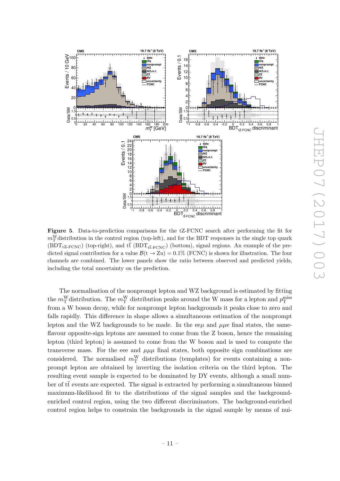

<span id="page-11-0"></span>Figure 5. Data-to-prediction comparisons for the tZ-FCNC search after performing the fit for  $m_{\rm T}^{\rm W}$ distribution in the control region (top-left), and for the BDT responses in the single top quark  $(BDT_{tZ-FCNC})$  (top-right), and  $t\bar{t}$  (BDT<sub>t $\bar{t}_r$ FCNC</sub>) (bottom), signal regions. An example of the predicted signal contribution for a value  $\mathcal{B}(t \to Zu) = 0.1\%$  (FCNC) is shown for illustration. The four channels are combined. The lower panels show the ratio between observed and predicted yields, including the total uncertainty on the prediction.

The normalisation of the nonprompt lepton and WZ background is estimated by fitting the  $m_{\rm T}^{\rm W}$  distribution. The  $m_{\rm T}^{\rm W}$  distribution peaks around the W mass for a lepton and  $p_{\rm T}^{\rm miss}$ from a W boson decay, while for nonprompt lepton backgrounds it peaks close to zero and falls rapidly. This difference in shape allows a simultaneous estimation of the nonprompt lepton and the WZ backgrounds to be made. In the ee $\mu$  and  $\mu\mu$ e final states, the sameflavour opposite-sign leptons are assumed to come from the Z boson, hence the remaining lepton (third lepton) is assumed to come from the W boson and is used to compute the transverse mass. For the eee and  $\mu\mu\mu$  final states, both opposite sign combinations are considered. The normalised  $m_{\rm T}^{\rm W}$  distributions (templates) for events containing a nonprompt lepton are obtained by inverting the isolation criteria on the third lepton. The resulting event sample is expected to be dominated by DY events, although a small number of  $t\bar{t}$  events are expected. The signal is extracted by performing a simultaneous binned maximum-likelihood fit to the distributions of the signal samples and the backgroundenriched control region, using the two different discriminators. The background-enriched control region helps to constrain the backgrounds in the signal sample by means of nui-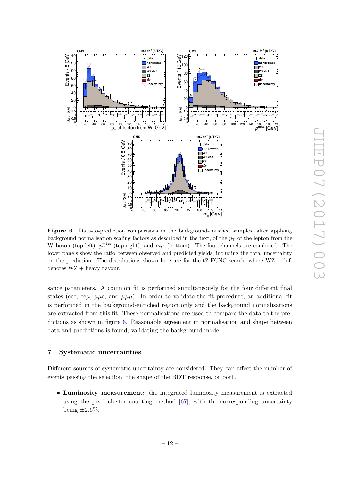

<span id="page-12-1"></span>Figure 6. Data-to-prediction comparisons in the background-enriched samples, after applying background normalisation scaling factors as described in the text, of the  $p<sub>T</sub>$  of the lepton from the W boson (top-left),  $p_T^{\text{miss}}$  (top-right), and  $m_{\ell\ell}$  (bottom). The four channels are combined. The lower panels show the ratio between observed and predicted yields, including the total uncertainty on the prediction. The distributions shown here are for the tZ-FCNC search, where  $WZ + h.f.$ denotes WZ + heavy flavour.

sance parameters. A common fit is performed simultaneously for the four different final states (eee, ee $\mu$ ,  $\mu\mu$ e, and  $\mu\mu\mu$ ). In order to validate the fit procedure, an additional fit is performed in the background-enriched region only and the background normalisations are extracted from this fit. These normalisations are used to compare the data to the predictions as shown in figure [6.](#page-12-1) Reasonable agreement in normalisation and shape between data and predictions is found, validating the background model.

# <span id="page-12-0"></span>7 Systematic uncertainties

Different sources of systematic uncertainty are considered. They can affect the number of events passing the selection, the shape of the BDT response, or both.

• Luminosity measurement: the integrated luminosity measurement is extracted using the pixel cluster counting method [\[67\]](#page-23-14), with the corresponding uncertainty being  $\pm 2.6\%$ .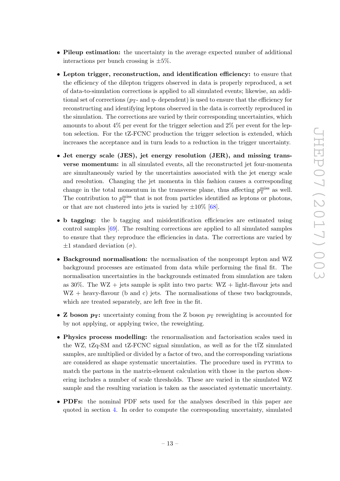- Pileup estimation: the uncertainty in the average expected number of additional interactions per bunch crossing is  $\pm 5\%$ .
- Lepton trigger, reconstruction, and identification efficiency: to ensure that the efficiency of the dilepton triggers observed in data is properly reproduced, a set of data-to-simulation corrections is applied to all simulated events; likewise, an additional set of corrections ( $p_T$ - and  $\eta$ - dependent) is used to ensure that the efficiency for reconstructing and identifying leptons observed in the data is correctly reproduced in the simulation. The corrections are varied by their corresponding uncertainties, which amounts to about 4% per event for the trigger selection and 2% per event for the lepton selection. For the tZ-FCNC production the trigger selection is extended, which increases the acceptance and in turn leads to a reduction in the trigger uncertainty.
- Jet energy scale (JES), jet energy resolution (JER), and missing transverse momentum: in all simulated events, all the reconstructed jet four-momenta are simultaneously varied by the uncertainties associated with the jet energy scale and resolution. Changing the jet momenta in this fashion causes a corresponding change in the total momentum in the transverse plane, thus affecting  $p_T^{\text{miss}}$  as well. The contribution to  $p_T^{\text{miss}}$  that is not from particles identified as leptons or photons, or that are not clustered into jets is varied by  $\pm 10\%$  [\[68\]](#page-23-15).
- b tagging: the b tagging and misidentification efficiencies are estimated using control samples [\[69\]](#page-23-16). The resulting corrections are applied to all simulated samples to ensure that they reproduce the efficiencies in data. The corrections are varied by  $\pm 1$  standard deviation  $(\sigma)$ .
- Background normalisation: the normalisation of the nonprompt lepton and WZ background processes are estimated from data while performing the final fit. The normalisation uncertainties in the backgrounds estimated from simulation are taken as  $30\%$ . The WZ + jets sample is split into two parts: WZ + light-flavour jets and  $WZ +$  heavy-flavour (b and c) jets. The normalisations of these two backgrounds, which are treated separately, are left free in the fit.
- Z boson  $p_T$ : uncertainty coming from the Z boson  $p_T$  reweighting is accounted for by not applying, or applying twice, the reweighting.
- Physics process modelling: the renormalisation and factorisation scales used in the WZ, tZq-SM and tZ-FCNC signal simulation, as well as for the  $t\overline{t}Z$  simulated samples, are multiplied or divided by a factor of two, and the corresponding variations are considered as shape systematic uncertainties. The procedure used in pythia to match the partons in the matrix-element calculation with those in the parton showering includes a number of scale thresholds. These are varied in the simulated WZ sample and the resulting variation is taken as the associated systematic uncertainty.
- PDFs: the nominal PDF sets used for the analyses described in this paper are quoted in section [4.](#page-6-0) In order to compute the corresponding uncertainty, simulated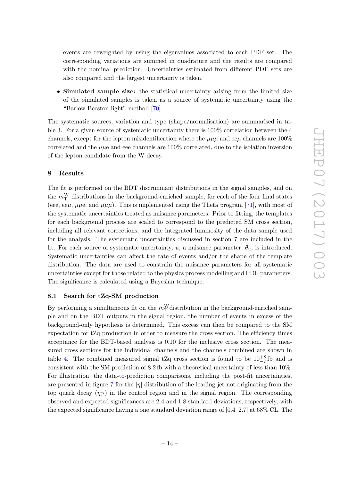events are reweighted by using the eigenvalues associated to each PDF set. The corresponding variations are summed in quadrature and the results are compared with the nominal prediction. Uncertainties estimated from different PDF sets are also compared and the largest uncertainty is taken.

• Simulated sample size: the statistical uncertainty arising from the limited size of the simulated samples is taken as a source of systematic uncertainty using the "Barlow-Beeston light" method [\[70\]](#page-23-17).

The systematic sources, variation and type (shape/normalisation) are summarised in table [3.](#page-15-0) For a given source of systematic uncertainty there is 100% correlation between the 4 channels, except for the lepton misidentification where the  $\mu\mu\mu$  and ee $\mu$  channels are 100% correlated and the  $\mu\mu$ e and eee channels are 100% correlated, due to the isolation inversion of the lepton candidate from the W decay.

### <span id="page-14-0"></span>8 Results

The fit is performed on the BDT discriminant distributions in the signal samples, and on the  $m_{\text{T}}^{\text{W}}$  distributions in the background-enriched sample, for each of the four final states (eee, ee $\mu$ ,  $\mu\mu$ e, and  $\mu\mu\mu$ ). This is implemented using the Theta program [\[71\]](#page-23-18), with most of the systematic uncertainties treated as nuisance parameters. Prior to fitting, the templates for each background process are scaled to correspond to the predicted SM cross section, including all relevant corrections, and the integrated luminosity of the data sample used for the analysis. The systematic uncertainties discussed in section [7](#page-12-0) are included in the fit. For each source of systematic uncertainty, u, a nuisance parameter,  $\theta_u$ , is introduced. Systematic uncertainties can affect the rate of events and/or the shape of the template distribution. The data are used to constrain the nuisance parameters for all systematic uncertainties except for those related to the physics process modelling and PDF parameters. The significance is calculated using a Bayesian technique.

#### <span id="page-14-1"></span>8.1 Search for tZq-SM production

By performing a simultaneous fit on the  $m_{\text{T}}^{\text{W}}$  distribution in the background-enriched sample and on the BDT outputs in the signal region, the number of events in excess of the background-only hypothesis is determined. This excess can then be compared to the SM expectation for tZq production in order to measure the cross section. The efficiency times acceptance for the BDT-based analysis is 0.10 for the inclusive cross section. The measured cross sections for the individual channels and the channels combined are shown in table [4.](#page-15-1) The combined measured signal tZq cross section is found to be  $10^{+8}_{-7}$  fb and is consistent with the SM prediction of 8.2 fb with a theoretical uncertainty of less than 10%. For illustration, the data-to-prediction comparisons, including the post-fit uncertainties, are presented in figure [7](#page-16-0) for the  $|\eta|$  distribution of the leading jet not originating from the top quark decay  $(\eta_{J'})$  in the control region and in the signal region. The corresponding observed and expected significances are 2.4 and 1.8 standard deviations, respectively, with the expected significance having a one standard deviation range of [0.4–2.7] at 68% CL. The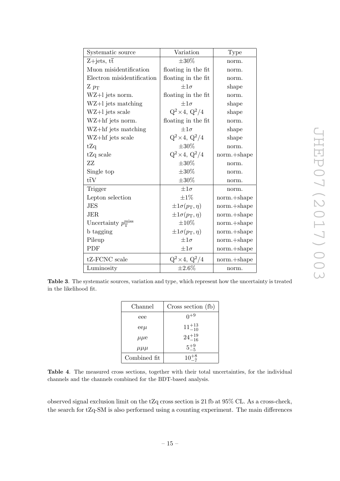| Systematic source               | Variation                     | <b>Type</b> |
|---------------------------------|-------------------------------|-------------|
| $Z+{\rm jets}, t\bar{t}$        | $\pm 30\%$                    | norm.       |
| Muon misidentification          | floating in the fit           | norm.       |
| Electron misidentification      | floating in the fit           | norm.       |
| $Z p_T$                         | $\pm 1\sigma$                 | shape       |
| $WZ+1$ jets norm.               | floating in the fit           | norm.       |
| WZ+1 jets matching              | $\pm 1\sigma$                 | shape       |
| $WZ+1$ jets scale               | $Q^2 \times 4$ , $Q^2/4$      | shape       |
| $WZ+hf$ jets norm.              | floating in the fit           | norm.       |
| WZ+hf jets matching             | $\pm 1\sigma$                 | shape       |
| WZ+hf jets scale                | $Q^2 \times 4$ , $Q^2/4$      | shape       |
| tZq                             | $\pm 30\%$                    | norm.       |
| $tZq$ scale                     | $Q^2 \times 4$ , $Q^2/4$      | norm.+shape |
| ZZ                              | $\pm 30\%$                    | norm.       |
| Single top                      | $\pm 30\%$                    | norm.       |
| $t\overline{t}V$                | $\pm 30\%$                    | norm.       |
| Trigger                         | $\pm 1\sigma$                 | norm.       |
| Lepton selection                | $\pm 1\%$                     | norm.+shape |
| <b>JES</b>                      | $\pm 1\sigma(p_{\rm T},\eta)$ | norm.+shape |
| JER                             | $\pm 1\sigma(p_{\rm T},\eta)$ | norm.+shape |
| Uncertainty $p_T^{\text{miss}}$ | $\pm 10\%$                    | norm.+shape |
| b tagging                       | $\pm 1\sigma(p_{\rm T},\eta)$ | norm.+shape |
| Pileup                          | $\pm 1\sigma$                 | norm.+shape |
| PDF                             | $\pm 1\sigma$                 | norm.+shape |
| tZ-FCNC scale                   | $Q^2 \times 4$ , $Q^2/4$      | norm.+shape |
| Luminosity                      | $\pm 2.6\%$                   | norm.       |

<span id="page-15-0"></span>Table 3. The systematic sources, variation and type, which represent how the uncertainty is treated in the likelihood fit.

| Channel      | Cross section (fb) |
|--------------|--------------------|
| eee          | $0+9$              |
| $ee\mu$      | $11^{+13}_{-10}$   |
| $\mu\mu e$   | $24^{+19}_{-16}$   |
| $\mu\mu\mu$  | $5^{+9}_{-5}$      |
| Combined fit | $10^{+8}$          |

<span id="page-15-1"></span>Table 4. The measured cross sections, together with their total uncertainties, for the individual channels and the channels combined for the BDT-based analysis.

observed signal exclusion limit on the tZq cross section is 21 fb at 95% CL. As a cross-check, the search for tZq-SM is also performed using a counting experiment. The main differences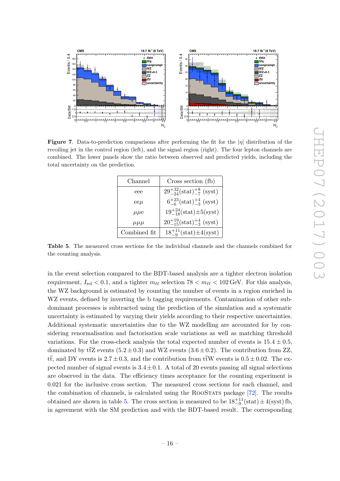

<span id="page-16-0"></span>**Figure 7.** Data-to-prediction comparisons after performing the fit for the  $|\eta|$  distribution of the recoiling jet in the control region (left), and the signal region (right). The four lepton channels are combined. The lower panels show the ratio between observed and predicted yields, including the total uncertainty on the prediction.

| Channel      | Cross section (fb)                                        |
|--------------|-----------------------------------------------------------|
| eee          | $29^{+32}_{-24}$ (stat) <sup><math>+8</math></sup> (syst) |
| $ee\mu$      | $6^{+23}_{-6}$ (stat) <sup>+4</sup> (syst)                |
| $\mu\mu$ e   | $19^{+24}_{-18}$ (stat) $\pm 5$ (syst)                    |
| $\mu\mu\mu$  | $20^{+19}_{-15}$ (stat) <sup>+4</sup> (syst)              |
| Combined fit | $18^{+11}_{-9}$ (stat) $\pm 4$ (syst)                     |

<span id="page-16-1"></span>Table 5. The measured cross sections for the individual channels and the channels combined for the counting analysis.

in the event selection compared to the BDT-based analysis are a tighter electron isolation requirement,  $I_{rel} < 0.1$ , and a tighter  $m_{\ell\ell}$  selection 78  $< m_{\ell\ell} < 102$  GeV. For this analysis, the WZ background is estimated by counting the number of events in a region enriched in WZ events, defined by inverting the b tagging requirements. Contamination of other subdominant processes is subtracted using the prediction of the simulation and a systematic uncertainty is estimated by varying their yields according to their respective uncertainties. Additional systematic uncertainties due to the WZ modelling are accounted for by considering renormalisation and factorisation scale variations as well as matching threshold variations. For the cross-check analysis the total expected number of events is  $15.4 \pm 0.5$ , dominated by  $t\bar{t}Z$  events (5.2  $\pm$  0.3) and WZ events (3.6  $\pm$  0.2). The contribution from ZZ,  $t\bar{t}$ , and DY events is  $2.7 \pm 0.3$ , and the contribution from  $t\bar{t}W$  events is  $0.5 \pm 0.02$ . The expected number of signal events is  $3.4 \pm 0.1$ . A total of 20 events passing all signal selections are observed in the data. The efficiency times acceptance for the counting experiment is 0.021 for the inclusive cross section. The measured cross sections for each channel, and the combination of channels, is calculated using the ROOSTATS package [\[72\]](#page-23-19). The results obtained are shown in table [5.](#page-16-1) The cross section is measured to be  $18^{+11}_{-9}$  (stat)  $\pm 4$  (syst) fb, in agreement with the SM prediction and with the BDT-based result. The corresponding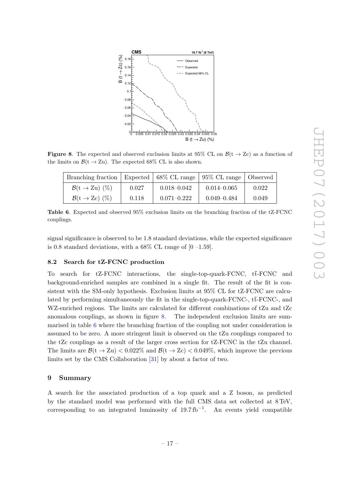

**Figure 8.** The expected and observed exclusion limits at 95% CL on  $\mathcal{B}(t \to Z_c)$  as a function of the limits on  $\mathcal{B}(t \to \mathbb{Z}u)$ . The expected 68% CL is also shown.

<span id="page-17-2"></span>

| Branching fraction   Expected   68% CL range   95% CL range   Observed |       |                 |                 |       |
|------------------------------------------------------------------------|-------|-----------------|-----------------|-------|
| $\mathcal{B}(t \to Zu)$ (%)                                            | 0.027 | $0.018 - 0.042$ | $0.014 - 0.065$ | 0.022 |
| $\mathcal{B}(t \to Zc)$ (%)                                            | 0.118 | $0.071 - 0.222$ | $0.049 - 0.484$ | 0.049 |

<span id="page-17-3"></span>Table 6. Expected and observed 95% exclusion limits on the branching fraction of the tZ-FCNC couplings.

signal significance is observed to be 1.8 standard deviations, while the expected significance is 0.8 standard deviations, with a  $68\%$  CL range of  $[0 -1.59]$ .

# <span id="page-17-0"></span>8.2 Search for tZ-FCNC production

To search for  $tZ\text{-FCNC}$  interactions, the single-top-quark-FCNC,  $t\bar{t}\text{-FCNC}$  and background-enriched samples are combined in a single fit. The result of the fit is consistent with the SM-only hypothesis. Exclusion limits at 95% CL for tZ-FCNC are calculated by performing simultaneously the fit in the single-top-quark-FCNC-,  $t\bar{t}$ -FCNC-, and WZ-enriched regions. The limits are calculated for different combinations of tZu and tZc anomalous couplings, as shown in figure [8.](#page-17-2) The independent exclusion limits are summarised in table [6](#page-17-3) where the branching fraction of the coupling not under consideration is assumed to be zero. A more stringent limit is observed on the tZu couplings compared to the tZc couplings as a result of the larger cross section for tZ-FCNC in the tZu channel. The limits are  $\mathcal{B}(t \to \Sigma u) < 0.022\%$  and  $\mathcal{B}(t \to \Sigma c) < 0.049\%$ , which improve the previous limits set by the CMS Collaboration [\[31\]](#page-21-11) by about a factor of two.

### <span id="page-17-1"></span>9 Summary

A search for the associated production of a top quark and a Z boson, as predicted by the standard model was performed with the full CMS data set collected at 8 TeV, corresponding to an integrated luminosity of  $19.7 \text{ fb}^{-1}$ . An events yield compatible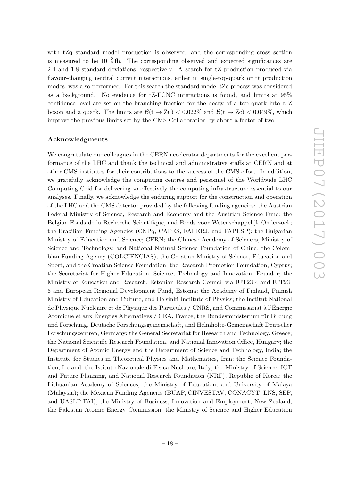with tZq standard model production is observed, and the corresponding cross section is measured to be  $10^{+8}_{-7}$  fb. The corresponding observed and expected significances are 2.4 and 1.8 standard deviations, respectively. A search for tZ production produced via flavour-changing neutral current interactions, either in single-top-quark or  $t\bar{t}$  production modes, was also performed. For this search the standard model tZq process was considered as a background. No evidence for tZ-FCNC interactions is found, and limits at 95% confidence level are set on the branching fraction for the decay of a top quark into a Z boson and a quark. The limits are  $\mathcal{B}(t \to Zu) < 0.022\%$  and  $\mathcal{B}(t \to Zc) < 0.049\%$ , which improve the previous limits set by the CMS Collaboration by about a factor of two.

### Acknowledgments

We congratulate our colleagues in the CERN accelerator departments for the excellent performance of the LHC and thank the technical and administrative staffs at CERN and at other CMS institutes for their contributions to the success of the CMS effort. In addition, we gratefully acknowledge the computing centres and personnel of the Worldwide LHC Computing Grid for delivering so effectively the computing infrastructure essential to our analyses. Finally, we acknowledge the enduring support for the construction and operation of the LHC and the CMS detector provided by the following funding agencies: the Austrian Federal Ministry of Science, Research and Economy and the Austrian Science Fund; the Belgian Fonds de la Recherche Scientifique, and Fonds voor Wetenschappelijk Onderzoek; the Brazilian Funding Agencies (CNPq, CAPES, FAPERJ, and FAPESP); the Bulgarian Ministry of Education and Science; CERN; the Chinese Academy of Sciences, Ministry of Science and Technology, and National Natural Science Foundation of China; the Colombian Funding Agency (COLCIENCIAS); the Croatian Ministry of Science, Education and Sport, and the Croatian Science Foundation; the Research Promotion Foundation, Cyprus; the Secretariat for Higher Education, Science, Technology and Innovation, Ecuador; the Ministry of Education and Research, Estonian Research Council via IUT23-4 and IUT23- 6 and European Regional Development Fund, Estonia; the Academy of Finland, Finnish Ministry of Education and Culture, and Helsinki Institute of Physics; the Institut National de Physique Nucléaire et de Physique des Particules / CNRS, and Commissariat à l'Energie Atomique et aux Énergies Alternatives / CEA, France; the Bundesministerium für Bildung und Forschung, Deutsche Forschungsgemeinschaft, and Helmholtz-Gemeinschaft Deutscher Forschungszentren, Germany; the General Secretariat for Research and Technology, Greece; the National Scientific Research Foundation, and National Innovation Office, Hungary; the Department of Atomic Energy and the Department of Science and Technology, India; the Institute for Studies in Theoretical Physics and Mathematics, Iran; the Science Foundation, Ireland; the Istituto Nazionale di Fisica Nucleare, Italy; the Ministry of Science, ICT and Future Planning, and National Research Foundation (NRF), Republic of Korea; the Lithuanian Academy of Sciences; the Ministry of Education, and University of Malaya (Malaysia); the Mexican Funding Agencies (BUAP, CINVESTAV, CONACYT, LNS, SEP, and UASLP-FAI); the Ministry of Business, Innovation and Employment, New Zealand; the Pakistan Atomic Energy Commission; the Ministry of Science and Higher Education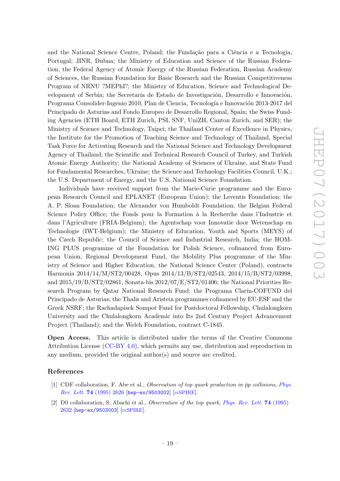and the National Science Centre, Poland; the Fundação para a Ciência e a Tecnologia, Portugal; JINR, Dubna; the Ministry of Education and Science of the Russian Federation, the Federal Agency of Atomic Energy of the Russian Federation, Russian Academy of Sciences, the Russian Foundation for Basic Research and the Russian Competitiveness Program of NRNU ?MEPhI?; the Ministry of Education, Science and Technological Development of Serbia; the Secretaría de Estado de Investigación, Desarrollo e Innovación, Programa Consolider-Ingenio 2010, Plan de Ciencia, Tecnología e Innovación 2013-2017 del Principado de Asturias and Fondo Europeo de Desarrollo Regional, Spain; the Swiss Funding Agencies (ETH Board, ETH Zurich, PSI, SNF, UniZH, Canton Zurich, and SER); the Ministry of Science and Technology, Taipei; the Thailand Center of Excellence in Physics, the Institute for the Promotion of Teaching Science and Technology of Thailand, Special Task Force for Activating Research and the National Science and Technology Development Agency of Thailand; the Scientific and Technical Research Council of Turkey, and Turkish Atomic Energy Authority; the National Academy of Sciences of Ukraine, and State Fund for Fundamental Researches, Ukraine; the Science and Technology Facilities Council, U.K.; the U.S. Department of Energy, and the U.S. National Science Foundation.

Individuals have received support from the Marie-Curie programme and the European Research Council and EPLANET (European Union); the Leventis Foundation; the A. P. Sloan Foundation; the Alexander von Humboldt Foundation; the Belgian Federal Science Policy Office; the Fonds pour la Formation à la Recherche dans l'Industrie et dans l'Agriculture (FRIA-Belgium); the Agentschap voor Innovatie door Wetenschap en Technologie (IWT-Belgium); the Ministry of Education, Youth and Sports (MEYS) of the Czech Republic; the Council of Science and Industrial Research, India; the HOM-ING PLUS programme of the Foundation for Polish Science, cofinanced from European Union, Regional Development Fund, the Mobility Plus programme of the Ministry of Science and Higher Education, the National Science Center (Poland), contracts Harmonia 2014/14/M/ST2/00428, Opus 2014/13/B/ST2/02543, 2014/15/B/ST2/03998, and 2015/19/B/ST2/02861, Sonata-bis 2012/07/E/ST2/01406; the National Priorities Research Program by Qatar National Research Fund; the Programa Clarín-COFUND del Principado de Asturias; the Thalis and Aristeia programmes cofinanced by EU-ESF and the Greek NSRF; the Rachadapisek Sompot Fund for Postdoctoral Fellowship, Chulalongkorn University and the Chulalongkorn Academic into Its 2nd Century Project Advancement Project (Thailand); and the Welch Foundation, contract C-1845.

Open Access. This article is distributed under the terms of the Creative Commons Attribution License [\(CC-BY 4.0\)](https://creativecommons.org/licenses/by/4.0/), which permits any use, distribution and reproduction in any medium, provided the original author(s) and source are credited.

### References

- <span id="page-19-0"></span>[1] CDF collaboration, F. Abe et al., Observation of top quark production in  $\bar{p}p$  collisions, [Phys.](https://doi.org/10.1103/PhysRevLett.74.2626) Rev. Lett. 74 [\(1995\) 2626](https://doi.org/10.1103/PhysRevLett.74.2626) [[hep-ex/9503002](https://arxiv.org/abs/hep-ex/9503002)] [IN[SPIRE](https://inspirehep.net/search?p=find+J+%22Phys.Rev.Lett.,74,2626%22)].
- <span id="page-19-1"></span>[2] D0 collaboration, S. Abachi et al., Observation of the top quark, [Phys. Rev. Lett.](https://doi.org/10.1103/PhysRevLett.74.2632) **74** (1995) [2632](https://doi.org/10.1103/PhysRevLett.74.2632) [[hep-ex/9503003](https://arxiv.org/abs/hep-ex/9503003)] [IN[SPIRE](https://inspirehep.net/search?p=find+J+%22Phys.Rev.Lett.,74,2632%22)].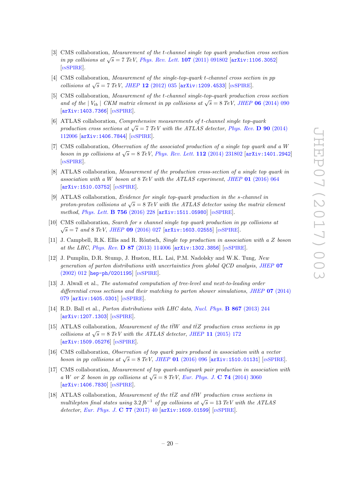- <span id="page-20-0"></span>[3] CMS collaboration, Measurement of the t-channel single top quark production cross section in pp collisions at  $\sqrt{s} = 7 \text{ TeV}$ , [Phys. Rev. Lett.](https://doi.org/10.1103/PhysRevLett.107.091802) 107 (2011) 091802 [[arXiv:1106.3052](https://arxiv.org/abs/1106.3052)] [IN[SPIRE](https://inspirehep.net/search?p=find+EPRINT+arXiv:1106.3052)].
- [4] CMS collaboration, Measurement of the single-top-quark t-channel cross section in pp collisions at  $\sqrt{s}$  = 7 TeV, JHEP 12 [\(2012\) 035](https://doi.org/10.1007/JHEP12(2012)035) [[arXiv:1209.4533](https://arxiv.org/abs/1209.4533)] [IN[SPIRE](https://inspirehep.net/search?p=find+EPRINT+arXiv:1209.4533)].
- [5] CMS collaboration, Measurement of the t-channel single-top-quark production cross section and of the  $|V_{tb}|$  CKM matrix element in pp collisions at  $\sqrt{s} = 8$  TeV, JHEP 06 [\(2014\) 090](https://doi.org/10.1007/JHEP06(2014)090) [[arXiv:1403.7366](https://arxiv.org/abs/1403.7366)] [IN[SPIRE](https://inspirehep.net/search?p=find+EPRINT+arXiv:1403.7366)].
- [6] ATLAS collaboration, Comprehensive measurements of t-channel single top-quark production cross sections at  $\sqrt{s} = 7 \text{ TeV}$  with the ATLAS detector, [Phys. Rev.](https://doi.org/10.1103/PhysRevD.90.112006) **D** 90 (2014) [112006](https://doi.org/10.1103/PhysRevD.90.112006) [[arXiv:1406.7844](https://arxiv.org/abs/1406.7844)] [IN[SPIRE](https://inspirehep.net/search?p=find+EPRINT+arXiv:1406.7844)].
- [7] CMS collaboration, Observation of the associated production of a single top quark and a W boson in pp collisions at  $\sqrt{s} = 8$  TeV, [Phys. Rev. Lett.](https://doi.org/10.1103/PhysRevLett.112.231802) 112 (2014) 231802 [[arXiv:1401.2942](https://arxiv.org/abs/1401.2942)] [IN[SPIRE](https://inspirehep.net/search?p=find+EPRINT+arXiv:1401.2942)].
- <span id="page-20-1"></span>[8] ATLAS collaboration, Measurement of the production cross-section of a single top quark in association with a W boson at 8 TeV with the ATLAS experiment, JHEP 01 [\(2016\) 064](https://doi.org/10.1007/JHEP01(2016)064) [[arXiv:1510.03752](https://arxiv.org/abs/1510.03752)] [IN[SPIRE](https://inspirehep.net/search?p=find+EPRINT+arXiv:1510.03752)].
- <span id="page-20-2"></span>[9] ATLAS collaboration, Evidence for single top-quark production in the s-channel in proton-proton collisions at  $\sqrt{s} = 8$  TeV with the ATLAS detector using the matrix element method, [Phys. Lett.](https://doi.org/10.1016/j.physletb.2016.03.017) **B 756** (2016) 228 [[arXiv:1511.05980](https://arxiv.org/abs/1511.05980)] [IN[SPIRE](https://inspirehep.net/search?p=find+EPRINT+arXiv:1511.05980)].
- <span id="page-20-3"></span>[10] CMS collaboration, Search for s channel single top quark production in pp collisions at  $\sqrt{s}$  = 7 and 8 TeV, JHEP 09 [\(2016\) 027](https://doi.org/10.1007/JHEP09(2016)027) [[arXiv:1603.02555](https://arxiv.org/abs/1603.02555)] [IN[SPIRE](https://inspirehep.net/search?p=find+EPRINT+arXiv:1603.02555)].
- <span id="page-20-4"></span>[11] J. Campbell, R.K. Ellis and R. Röntsch, Single top production in association with a Z boson at the LHC, Phys. Rev. D 87 [\(2013\) 114006](https://doi.org/10.1103/PhysRevD.87.114006)  $arXiv:1302.3856$  [IN[SPIRE](https://inspirehep.net/search?p=find+EPRINT+arXiv:1302.3856)].
- <span id="page-20-5"></span>[12] J. Pumplin, D.R. Stump, J. Huston, H.L. Lai, P.M. Nadolsky and W.K. Tung, New generation of parton distributions with uncertainties from global QCD analysis, [JHEP](https://doi.org/10.1088/1126-6708/2002/07/012) 07 [\(2002\) 012](https://doi.org/10.1088/1126-6708/2002/07/012) [[hep-ph/0201195](https://arxiv.org/abs/hep-ph/0201195)] [IN[SPIRE](https://inspirehep.net/search?p=find+EPRINT+hep-ph/0201195)].
- <span id="page-20-6"></span>[13] J. Alwall et al., The automated computation of tree-level and next-to-leading order differential cross sections and their matching to parton shower simulations, JHEP 07 [\(2014\)](https://doi.org/10.1007/JHEP07(2014)079) [079](https://doi.org/10.1007/JHEP07(2014)079) [[arXiv:1405.0301](https://arxiv.org/abs/1405.0301)] [IN[SPIRE](https://inspirehep.net/search?p=find+EPRINT+arXiv:1405.0301)].
- <span id="page-20-7"></span>[14] R.D. Ball et al., *Parton distributions with LHC data, [Nucl. Phys.](https://doi.org/10.1016/j.nuclphysb.2012.10.003)* **B 867** (2013) 244 [[arXiv:1207.1303](https://arxiv.org/abs/1207.1303)] [IN[SPIRE](https://inspirehep.net/search?p=find+EPRINT+arXiv:1207.1303)].
- <span id="page-20-8"></span>[15] ATLAS collaboration, *Measurement of the ttW* and  $t\bar{t}Z$  production cross sections in pp collisions at  $\sqrt{s} = 8$  TeV with the ATLAS detector, JHEP 11 [\(2015\) 172](https://doi.org/10.1007/JHEP11(2015)172) [[arXiv:1509.05276](https://arxiv.org/abs/1509.05276)] [IN[SPIRE](https://inspirehep.net/search?p=find+EPRINT+arXiv:1509.05276)].
- <span id="page-20-10"></span>[16] CMS collaboration, Observation of top quark pairs produced in association with a vector boson in pp collisions at  $\sqrt{s} = 8 \text{ TeV}$ , JHEP 01 [\(2016\) 096](https://doi.org/10.1007/JHEP01(2016)096) [[arXiv:1510.01131](https://arxiv.org/abs/1510.01131)] [IN[SPIRE](https://inspirehep.net/search?p=find+EPRINT+arXiv:1510.01131)].
- [17] CMS collaboration, Measurement of top quark-antiquark pair production in association with a W or Z boson in pp collisions at  $\sqrt{s} = 8 \text{ TeV}$ , [Eur. Phys. J.](https://doi.org/10.1140/epjc/s10052-014-3060-7) C 74 (2014) 3060 [[arXiv:1406.7830](https://arxiv.org/abs/1406.7830)] [IN[SPIRE](https://inspirehep.net/search?p=find+EPRINT+arXiv:1406.7830)].
- <span id="page-20-9"></span>[18] ATLAS collaboration, Measurement of the ttZ and  $t\bar{t}W$  production cross sections in multilepton final states using  $3.2 f b^{-1}$  of pp collisions at  $\sqrt{s} = 13 \text{ TeV}$  with the ATLAS detector, [Eur. Phys. J.](https://doi.org/10.1140/epjc/s10052-016-4574-y) C 77 (2017) 40  $\left[$ [arXiv:1609.01599](https://arxiv.org/abs/1609.01599) $\right]$   $\left[$ IN[SPIRE](https://inspirehep.net/search?p=find+EPRINT+arXiv:1609.01599) $\right]$ .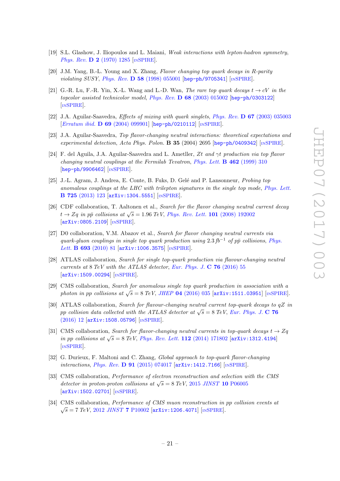- <span id="page-21-0"></span>[19] S.L. Glashow, J. Iliopoulos and L. Maiani, Weak interactions with lepton-hadron symmetry, Phys. Rev. **D 2** [\(1970\) 1285](https://doi.org/10.1103/PhysRevD.2.1285) [IN[SPIRE](https://inspirehep.net/search?p=find+J+%22Phys.Rev.,D2,1285%22)].
- <span id="page-21-1"></span>[20] J.M. Yang, B.-L. Young and X. Zhang, Flavor changing top quark decays in R-parity violating SUSY, Phys. Rev.  $\overline{D}$  58 [\(1998\) 055001](https://doi.org/10.1103/PhysRevD.58.055001) [[hep-ph/9705341](https://arxiv.org/abs/hep-ph/9705341)] [IN[SPIRE](https://inspirehep.net/search?p=find+EPRINT+hep-ph/9705341)].
- <span id="page-21-2"></span>[21] G.-R. Lu, F.-R. Yin, X.-L. Wang and L.-D. Wan, The rare top quark decays  $t \to cV$  in the topcolor assisted technicolor model, Phys. Rev.  $\bf{D} 68$  [\(2003\) 015002](https://doi.org/10.1103/PhysRevD.68.015002) [[hep-ph/0303122](https://arxiv.org/abs/hep-ph/0303122)] [IN[SPIRE](https://inspirehep.net/search?p=find+EPRINT+hep-ph/0303122)].
- <span id="page-21-3"></span>[22] J.A. Aguilar-Saavedra, Effects of mixing with quark singlets, Phys. Rev. D 67 [\(2003\) 035003](https://doi.org/10.1103/PhysRevD.67.035003) [*Erratum ibid.* **D 69** [\(2004\) 099901\]](https://doi.org/10.1103/PhysRevD.69.099901) [[hep-ph/0210112](https://arxiv.org/abs/hep-ph/0210112)] [IN[SPIRE](https://inspirehep.net/search?p=find+EPRINT+hep-ph/0210112)].
- <span id="page-21-4"></span>[23] J.A. Aguilar-Saavedra, Top flavor-changing neutral interactions: theoretical expectations and experimental detection, Acta Phys. Polon. B 35 (2004) 2695 [[hep-ph/0409342](https://arxiv.org/abs/hep-ph/0409342)] [IN[SPIRE](https://inspirehep.net/search?p=find+EPRINT+hep-ph/0409342)].
- [24] F. del Aguila, J.A. Aguilar-Saavedra and L. Ametller, Zt and  $\gamma t$  production via top flavor changing neutral couplings at the Fermilab Tevatron, [Phys. Lett.](https://doi.org/10.1016/S0370-2693(99)00929-6) B 462 (1999) 310 [[hep-ph/9906462](https://arxiv.org/abs/hep-ph/9906462)] [IN[SPIRE](https://inspirehep.net/search?p=find+EPRINT+hep-ph/9906462)].
- <span id="page-21-5"></span>[25] J.-L. Agram, J. Andrea, E. Conte, B. Fuks, D. Gelé and P. Lansonneur, *Probing top* anomalous couplings at the LHC with trilepton signatures in the single top mode, [Phys. Lett.](https://doi.org/10.1016/j.physletb.2013.06.052) B 725 [\(2013\) 123](https://doi.org/10.1016/j.physletb.2013.06.052) [[arXiv:1304.5551](https://arxiv.org/abs/1304.5551)] [IN[SPIRE](https://inspirehep.net/search?p=find+EPRINT+arXiv:1304.5551)].
- <span id="page-21-6"></span>[26] CDF collaboration, T. Aaltonen et al., Search for the flavor changing neutral current decay  $t \rightarrow Zq$  in pp⊂collisions at  $\sqrt{s} = 1.96$  TeV, [Phys. Rev. Lett.](https://doi.org/10.1103/PhysRevLett.101.192002) 101 (2008) 192002 [[arXiv:0805.2109](https://arxiv.org/abs/0805.2109)] [IN[SPIRE](https://inspirehep.net/search?p=find+EPRINT+arXiv:0805.2109)].
- <span id="page-21-7"></span>[27] D0 collaboration, V.M. Abazov et al., Search for flavor changing neutral currents via quark-gluon couplings in single top quark production using  $2.3 f_{0}^{-1}$  of pp collisions, [Phys.](https://doi.org/10.1016/j.physletb.2010.08.011) Lett. **B** 693 [\(2010\) 81](https://doi.org/10.1016/j.physletb.2010.08.011)  $\left[$ [arXiv:1006.3575](https://arxiv.org/abs/1006.3575) $\right]$  [IN[SPIRE](https://inspirehep.net/search?p=find+EPRINT+arXiv:1006.3575)].
- <span id="page-21-8"></span>[28] ATLAS collaboration, Search for single top-quark production via flavour-changing neutral currents at  $8 \text{ TeV}$  with the ATLAS detector, [Eur. Phys. J.](https://doi.org/10.1140/epjc/s10052-016-3876-4) C 76 (2016) 55 [[arXiv:1509.00294](https://arxiv.org/abs/1509.00294)] [IN[SPIRE](https://inspirehep.net/search?p=find+EPRINT+arXiv:1509.00294)].
- <span id="page-21-9"></span>[29] CMS collaboration, Search for anomalous single top quark production in association with a photon in pp collisions at  $\sqrt{s} = 8 \text{ TeV}$ , JHEP 04 [\(2016\) 035](https://doi.org/10.1007/JHEP04(2016)035) [[arXiv:1511.03951](https://arxiv.org/abs/1511.03951)] [IN[SPIRE](https://inspirehep.net/search?p=find+EPRINT+arXiv:1511.03951)].
- <span id="page-21-10"></span>[30] ATLAS collaboration, Search for flavour-changing neutral current top-quark decays to qZ in pp collision data collected with the ATLAS detector at  $\sqrt{s} = 8$  TeV, [Eur. Phys. J.](https://doi.org/10.1140/epjc/s10052-015-3851-5) C 76 [\(2016\) 12](https://doi.org/10.1140/epjc/s10052-015-3851-5) [[arXiv:1508.05796](https://arxiv.org/abs/1508.05796)] [IN[SPIRE](https://inspirehep.net/search?p=find+EPRINT+arXiv:1508.05796)].
- <span id="page-21-11"></span>[31] CMS collaboration, Search for flavor-changing neutral currents in top-quark decays  $t \to Zq$  $\mu$  pp collisions at  $\sqrt{s} = 8 \text{ TeV}$ , *[Phys. Rev. Lett.](https://doi.org/10.1103/PhysRevLett.112.171802)* **112** (2014) 171802 [[arXiv:1312.4194](https://arxiv.org/abs/1312.4194)] [IN[SPIRE](https://inspirehep.net/search?p=find+EPRINT+arXiv:1312.4194)].
- <span id="page-21-12"></span>[32] G. Durieux, F. Maltoni and C. Zhang, *Global approach to top-quark flavor-changing* interactions, *Phys. Rev.* **D 91** [\(2015\) 074017](https://doi.org/10.1103/PhysRevD.91.074017) [[arXiv:1412.7166](https://arxiv.org/abs/1412.7166)] [IN[SPIRE](https://inspirehep.net/search?p=find+EPRINT+arXiv:1412.7166)].
- <span id="page-21-13"></span>[33] CMS collaboration, Performance of electron reconstruction and selection with the CMS  $\alpha$  detector in proton-proton collisions at  $\sqrt{s} = 8 \text{ TeV}$ , 2015 JINST 10 [P06005](https://doi.org/10.1088/1748-0221/10/06/P06005) [[arXiv:1502.02701](https://arxiv.org/abs/1502.02701)] [IN[SPIRE](https://inspirehep.net/search?p=find+EPRINT+arXiv:1502.02701)].
- <span id="page-21-14"></span>[34] CMS collaboration, Performance of CMS muon reconstruction in pp collision events at  $\sqrt{s}$  = 7 TeV, 2012 JINST 7 [P10002](https://doi.org/10.1088/1748-0221/7/10/P10002) [[arXiv:1206.4071](https://arxiv.org/abs/1206.4071)] [IN[SPIRE](https://inspirehep.net/search?p=find+EPRINT+arXiv:1206.4071)].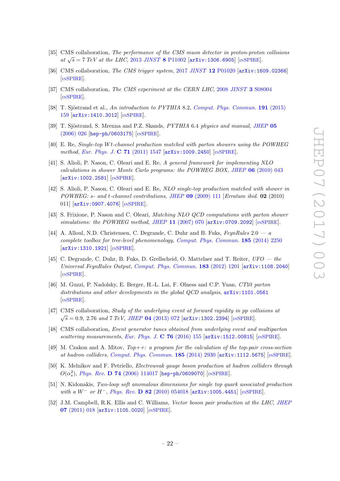- <span id="page-22-0"></span>[35] CMS collaboration, The performance of the CMS muon detector in proton-proton collisions at  $\sqrt{s}$  = 7 TeV at the LHC, 2013 JINST 8 [P11002](https://doi.org/10.1088/1748-0221/8/11/P11002) [[arXiv:1306.6905](https://arxiv.org/abs/1306.6905)] [IN[SPIRE](https://inspirehep.net/search?p=find+EPRINT+arXiv:1306.6905)].
- <span id="page-22-1"></span>[36] CMS collaboration, The CMS trigger system, 2017 JINST 12 [P01020](https://doi.org/10.1088/1748-0221/12/01/P01020) [[arXiv:1609.02366](https://arxiv.org/abs/1609.02366)] [IN[SPIRE](https://inspirehep.net/search?p=find+EPRINT+arXiv:1609.02366)].
- <span id="page-22-2"></span>[37] CMS collaboration, *The CMS experiment at the CERN LHC*, 2008 JINST **3** [S08004](https://doi.org/10.1088/1748-0221/3/08/S08004) [IN[SPIRE](https://inspirehep.net/search?p=find+J+%22JINST,3,S08004%22)].
- <span id="page-22-3"></span>[38] T. Sjöstrand et al., An introduction to PYTHIA 8.2, [Comput. Phys. Commun.](https://doi.org/10.1016/j.cpc.2015.01.024) 191 (2015) [159](https://doi.org/10.1016/j.cpc.2015.01.024) [[arXiv:1410.3012](https://arxiv.org/abs/1410.3012)] [IN[SPIRE](https://inspirehep.net/search?p=find+EPRINT+arXiv:1410.3012)].
- <span id="page-22-4"></span>[39] T. Sjöstrand, S. Mrenna and P.Z. Skands, *PYTHIA* 6.4 *physics and manual, [JHEP](https://doi.org/10.1088/1126-6708/2006/05/026)* 05 [\(2006\) 026](https://doi.org/10.1088/1126-6708/2006/05/026) [[hep-ph/0603175](https://arxiv.org/abs/hep-ph/0603175)] [IN[SPIRE](https://inspirehep.net/search?p=find+EPRINT+hep-ph/0603175)].
- <span id="page-22-5"></span>[40] E. Re, Single-top Wt-channel production matched with parton showers using the POWHEG method, [Eur. Phys. J.](https://doi.org/10.1140/epjc/s10052-011-1547-z) C 71 (2011) 1547 [[arXiv:1009.2450](https://arxiv.org/abs/1009.2450)] [IN[SPIRE](https://inspirehep.net/search?p=find+EPRINT+arXiv:1009.2450)].
- [41] S. Alioli, P. Nason, C. Oleari and E. Re, A general framework for implementing NLO calculations in shower Monte Carlo programs: the POWHEG BOX, JHEP 06 [\(2010\) 043](https://doi.org/10.1007/JHEP06(2010)043) [[arXiv:1002.2581](https://arxiv.org/abs/1002.2581)] [IN[SPIRE](https://inspirehep.net/search?p=find+EPRINT+arXiv:1002.2581)].
- [42] S. Alioli, P. Nason, C. Oleari and E. Re, NLO single-top production matched with shower in POWHEG: s- and t-channel contributions, JHEP 09 [\(2009\) 111](https://doi.org/10.1088/1126-6708/2009/09/111) [Erratum ibid. 02 (2010) 011] [[arXiv:0907.4076](https://arxiv.org/abs/0907.4076)] [IN[SPIRE](https://inspirehep.net/search?p=find+EPRINT+arXiv:0907.4076)].
- <span id="page-22-6"></span>[43] S. Frixione, P. Nason and C. Oleari, Matching NLO QCD computations with parton shower simulations: the POWHEG method, JHEP 11 [\(2007\) 070](https://doi.org/10.1088/1126-6708/2007/11/070)  $\left[$ [arXiv:0709.2092](https://arxiv.org/abs/0709.2092) $\right]$   $\left[$ IN[SPIRE](https://inspirehep.net/search?p=find+EPRINT+arXiv:0709.2092) $\right]$ .
- <span id="page-22-7"></span>[44] A. Alloul, N.D. Christensen, C. Degrande, C. Duhr and B. Fuks,  $FevnRules 2.0 - a$ complete toolbox for tree-level phenomenology, [Comput. Phys. Commun.](https://doi.org/10.1016/j.cpc.2014.04.012) 185 (2014) 2250 [[arXiv:1310.1921](https://arxiv.org/abs/1310.1921)] [IN[SPIRE](https://inspirehep.net/search?p=find+EPRINT+arXiv:1310.1921)].
- <span id="page-22-8"></span>[45] C. Degrande, C. Duhr, B. Fuks, D. Grellscheid, O. Mattelaer and T. Reiter,  $UFO - the$ Universal FeynRules Output, [Comput. Phys. Commun.](https://doi.org/10.1016/j.cpc.2012.01.022) 183 (2012) 1201 [[arXiv:1108.2040](https://arxiv.org/abs/1108.2040)] [IN[SPIRE](https://inspirehep.net/search?p=find+EPRINT+arXiv:1108.2040)].
- <span id="page-22-9"></span>[46] M. Guzzi, P. Nadolsky, E. Berger, H.-L. Lai, F. Olness and C.P. Yuan, CT10 parton distributions and other developments in the global QCD analysis,  $arXiv:1101.0561$ [IN[SPIRE](https://inspirehep.net/search?p=find+EPRINT+arXiv:1101.0561)].
- <span id="page-22-10"></span>[47] CMS collaboration, Study of the underlying event at forward rapidity in pp collisions at  $\sqrt{s} = 0.9$ , 2.76 and 7 TeV, JHEP 04 [\(2013\) 072](https://doi.org/10.1007/JHEP04(2013)072) [[arXiv:1302.2394](https://arxiv.org/abs/1302.2394)] [IN[SPIRE](https://inspirehep.net/search?p=find+EPRINT+arXiv:1302.2394)].
- <span id="page-22-11"></span>[48] CMS collaboration, Event generator tunes obtained from underlying event and multiparton scattering measurements, [Eur. Phys. J.](https://doi.org/10.1140/epjc/s10052-016-3988-x) C  $76$  (2016) 155 [[arXiv:1512.00815](https://arxiv.org/abs/1512.00815)] [IN[SPIRE](https://inspirehep.net/search?p=find+EPRINT+arXiv:1512.00815)].
- <span id="page-22-12"></span>[49] M. Czakon and A. Mitov,  $Top++: a program$  for the calculation of the top-pair cross-section at hadron colliders, [Comput. Phys. Commun.](https://doi.org/10.1016/j.cpc.2014.06.021) 185 (2014) 2930 [[arXiv:1112.5675](https://arxiv.org/abs/1112.5675)] [IN[SPIRE](https://inspirehep.net/search?p=find+EPRINT+arXiv:1112.5675)].
- <span id="page-22-13"></span>[50] K. Melnikov and F. Petriello, Electroweak gauge boson production at hadron colliders through  $O(\alpha_s^2)$ , Phys. Rev. **D 74** [\(2006\) 114017](https://doi.org/10.1103/PhysRevD.74.114017) [[hep-ph/0609070](https://arxiv.org/abs/hep-ph/0609070)] [IN[SPIRE](https://inspirehep.net/search?p=find+EPRINT+hep-ph/0609070)].
- <span id="page-22-14"></span>[51] N. Kidonakis, Two-loop soft anomalous dimensions for single top quark associated production with a  $W^-$  or  $H^-$ , Phys. Rev. D 82 [\(2010\) 054018](https://doi.org/10.1103/PhysRevD.82.054018) [[arXiv:1005.4451](https://arxiv.org/abs/1005.4451)] [IN[SPIRE](https://inspirehep.net/search?p=find+EPRINT+arXiv:1005.4451)].
- <span id="page-22-15"></span>[52] J.M. Campbell, R.K. Ellis and C. Williams, Vector boson pair production at the LHC, [JHEP](https://doi.org/10.1007/JHEP07(2011)018) 07 [\(2011\) 018](https://doi.org/10.1007/JHEP07(2011)018) [[arXiv:1105.0020](https://arxiv.org/abs/1105.0020)] [IN[SPIRE](https://inspirehep.net/search?p=find+EPRINT+arXiv:1105.0020)].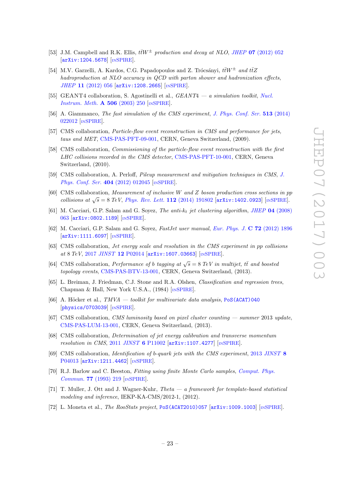- <span id="page-23-0"></span>[53] J.M. Campbell and R.K. Ellis,  $t\bar{t}W^{\pm}$  production and decay at NLO, JHEP 07 [\(2012\) 052](https://doi.org/10.1007/JHEP07(2012)052) [[arXiv:1204.5678](https://arxiv.org/abs/1204.5678)] [IN[SPIRE](https://inspirehep.net/search?p=find+EPRINT+arXiv:1204.5678)].
- <span id="page-23-1"></span>[54] M.V. Garzelli, A. Kardos, C.G. Papadopoulos and Z. Trócsányi,  $t\bar{t}W^{\pm}$  and  $t\bar{t}Z$ hadroproduction at NLO accuracy in QCD with parton shower and hadronization effects, JHEP 11 [\(2012\) 056](https://doi.org/10.1007/JHEP11(2012)056) [[arXiv:1208.2665](https://arxiv.org/abs/1208.2665)] [IN[SPIRE](https://inspirehep.net/search?p=find+EPRINT+arXiv:1208.2665)].
- <span id="page-23-2"></span>[55] GEANT4 collaboration, S. Agostinelli et al.,  $GEANT4 - a simulation toolkit$ , [Nucl.](https://doi.org/10.1016/S0168-9002(03)01368-8) [Instrum. Meth.](https://doi.org/10.1016/S0168-9002(03)01368-8) A 506 (2003) 250 [IN[SPIRE](https://inspirehep.net/search?p=find+J+%22Nucl.Instrum.Meth.,A506,250%22)].
- <span id="page-23-3"></span>[56] A. Giammanco, The fast simulation of the CMS experiment, [J. Phys. Conf. Ser.](https://doi.org/10.1088/1742-6596/513/2/022012) 513 (2014) [022012](https://doi.org/10.1088/1742-6596/513/2/022012) [IN[SPIRE](https://inspirehep.net/search?p=find+J+%22J.Phys.Conf.Ser.,513,022012%22)].
- <span id="page-23-4"></span>[57] CMS collaboration, *Particle-flow event reconstruction in CMS and performance for jets*, taus and MET, [CMS-PAS-PFT-09-001,](http://cds.cern.ch/record/1194487) CERN, Geneva Switzerland, (2009).
- <span id="page-23-5"></span>[58] CMS collaboration, Commissioning of the particle-flow event reconstruction with the first LHC collisions recorded in the CMS detector, [CMS-PAS-PFT-10-001,](http://cds.cern.ch/record/1247373) CERN, Geneva Switzerland, (2010).
- <span id="page-23-6"></span>[59] CMS collaboration, A. Perloff, Pileup measurement and mitigation techniques in CMS, [J.](https://doi.org/10.1088/1742-6596/404/1/012045) [Phys. Conf. Ser.](https://doi.org/10.1088/1742-6596/404/1/012045) 404 (2012) 012045 [IN[SPIRE](https://inspirehep.net/search?p=find+J+%22J.Phys.Conf.Ser.,404,012045%22)].
- <span id="page-23-7"></span>[60] CMS collaboration, Measurement of inclusive W and Z boson production cross sections in pp collisions at  $\sqrt{s} = 8$  TeV, [Phys. Rev. Lett.](https://doi.org/10.1103/PhysRevLett.112.191802) 112 (2014) 191802 [[arXiv:1402.0923](https://arxiv.org/abs/1402.0923)] [IN[SPIRE](https://inspirehep.net/search?p=find+EPRINT+arXiv:1402.0923)].
- <span id="page-23-8"></span>[61] M. Cacciari, G.P. Salam and G. Soyez, The anti- $k_t$  jet clustering algorithm, JHEP 04 [\(2008\)](https://doi.org/10.1088/1126-6708/2008/04/063) [063](https://doi.org/10.1088/1126-6708/2008/04/063) [[arXiv:0802.1189](https://arxiv.org/abs/0802.1189)] [IN[SPIRE](https://inspirehep.net/search?p=find+EPRINT+arXiv:0802.1189)].
- <span id="page-23-9"></span>[62] M. Cacciari, G.P. Salam and G. Soyez, FastJet user manual, [Eur. Phys. J.](https://doi.org/10.1140/epjc/s10052-012-1896-2) C 72 (2012) 1896 [[arXiv:1111.6097](https://arxiv.org/abs/1111.6097)] [IN[SPIRE](https://inspirehep.net/search?p=find+EPRINT+arXiv:1111.6097)].
- <span id="page-23-10"></span>[63] CMS collaboration, Jet energy scale and resolution in the CMS experiment in pp collisions at 8 TeV, 2017 JINST 12 [P02014](https://doi.org/10.1088/1748-0221/12/02/P02014)  $arXiv:1607.03663$  [IN[SPIRE](https://inspirehep.net/search?p=find+EPRINT+arXiv:1607.03663)].
- <span id="page-23-11"></span>[64] CMS collaboration, *Performance of b tagging at*  $\sqrt{s} = 8 \text{ TeV}$  in multijet, tt and boosted topology events, [CMS-PAS-BTV-13-001,](http://cds.cern.ch/record/1581306) CERN, Geneva Switzerland, (2013).
- <span id="page-23-12"></span>[65] L. Breiman, J. Friedman, C.J. Stone and R.A. Olshen, Classification and regression trees, Chapman & Hall, New York U.S.A., (1984) [IN[SPIRE](https://inspirehep.net/search?p=find+recid+1382689)].
- <span id="page-23-13"></span>[66] A. Höcker et al.,  $TMVA - toolkit$  for multivariate data analysis, [PoS\(ACAT\)040](https://pos.sissa.it/contribution?id=PoS(ACAT)040) [[physics/0703039](https://arxiv.org/abs/physics/0703039)] [IN[SPIRE](https://inspirehep.net/search?p=find+EPRINT+physics/0703039)].
- <span id="page-23-14"></span>[67] CMS collaboration, CMS luminosity based on pixel cluster counting — summer 2013 update, [CMS-PAS-LUM-13-001,](http://cds.cern.ch/record/1598864) CERN, Geneva Switzerland, (2013).
- <span id="page-23-15"></span>[68] CMS collaboration, Determination of jet energy calibration and transverse momentum resolution in CMS, 2011 JINST 6 [P11002](https://doi.org/10.1088/1748-0221/6/11/P11002) [[arXiv:1107.4277](https://arxiv.org/abs/1107.4277)] [IN[SPIRE](https://inspirehep.net/search?p=find+EPRINT+arXiv:1107.4277)].
- <span id="page-23-16"></span>[69] CMS collaboration, Identification of b-quark jets with the CMS experiment, 2013 [JINST](https://doi.org/10.1088/1748-0221/8/04/P04013) 8 [P04013](https://doi.org/10.1088/1748-0221/8/04/P04013) [[arXiv:1211.4462](https://arxiv.org/abs/1211.4462)] [IN[SPIRE](https://inspirehep.net/search?p=find+EPRINT+arXiv:1211.4462)].
- <span id="page-23-17"></span>[70] R.J. Barlow and C. Beeston, Fitting using finite Monte Carlo samples, [Comput. Phys.](https://doi.org/10.1016/0010-4655(93)90005-W) Commun. 77 [\(1993\) 219](https://doi.org/10.1016/0010-4655(93)90005-W) [IN[SPIRE](https://inspirehep.net/search?p=find+J+%22Comput.Phys.Commun.,77,219%22)].
- <span id="page-23-18"></span>[71] T. Muller, J. Ott and J. Wagner-Kuhr, Theta — a framework for template-based statistical modeling and inference, IEKP-KA-CMS/2012-1, (2012).
- <span id="page-23-19"></span>[72] L. Moneta et al., The RooStats project, [PoS\(ACAT2010\)057](https://pos.sissa.it/contribution?id=PoS(ACAT2010)057) [[arXiv:1009.1003](https://arxiv.org/abs/1009.1003)] [IN[SPIRE](https://inspirehep.net/search?p=find+EPRINT+arXiv:1009.1003)].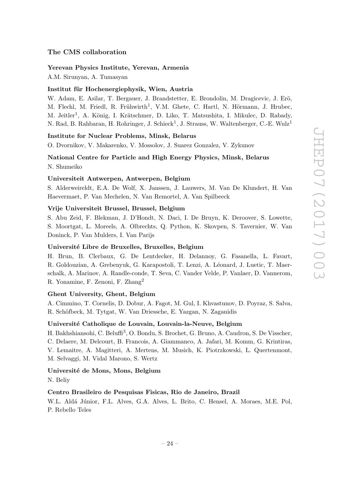### The CMS collaboration

### <span id="page-24-0"></span>Yerevan Physics Institute, Yerevan, Armenia

A.M. Sirunyan, A. Tumasyan

#### Institut für Hochenergiephysik, Wien, Austria

W. Adam, E. Asilar, T. Bergauer, J. Brandstetter, E. Brondolin, M. Dragicevic, J. Erö, M. Flechl, M. Friedl, R. Frühwirth<sup>1</sup>, V.M. Ghete, C. Hartl, N. Hörmann, J. Hrubec, M. Jeitler<sup>1</sup>, A. König, I. Krätschmer, D. Liko, T. Matsushita, I. Mikulec, D. Rabady, N. Rad, B. Rahbaran, H. Rohringer, J. Schieck<sup>1</sup>, J. Strauss, W. Waltenberger, C.-E. Wulz<sup>1</sup>

#### Institute for Nuclear Problems, Minsk, Belarus

O. Dvornikov, V. Makarenko, V. Mossolov, J. Suarez Gonzalez, V. Zykunov

# National Centre for Particle and High Energy Physics, Minsk, Belarus N. Shumeiko

### Universiteit Antwerpen, Antwerpen, Belgium

S. Alderweireldt, E.A. De Wolf, X. Janssen, J. Lauwers, M. Van De Klundert, H. Van Haevermaet, P. Van Mechelen, N. Van Remortel, A. Van Spilbeeck

### Vrije Universiteit Brussel, Brussel, Belgium

S. Abu Zeid, F. Blekman, J. D'Hondt, N. Daci, I. De Bruyn, K. Deroover, S. Lowette, S. Moortgat, L. Moreels, A. Olbrechts, Q. Python, K. Skovpen, S. Tavernier, W. Van Doninck, P. Van Mulders, I. Van Parijs

### Universit´e Libre de Bruxelles, Bruxelles, Belgium

H. Brun, B. Clerbaux, G. De Lentdecker, H. Delannoy, G. Fasanella, L. Favart, R. Goldouzian, A. Grebenyuk, G. Karapostoli, T. Lenzi, A. Léonard, J. Luetic, T. Maerschalk, A. Marinov, A. Randle-conde, T. Seva, C. Vander Velde, P. Vanlaer, D. Vannerom, R. Yonamine, F. Zenoni, F. Zhang<sup>2</sup>

# Ghent University, Ghent, Belgium

A. Cimmino, T. Cornelis, D. Dobur, A. Fagot, M. Gul, I. Khvastunov, D. Poyraz, S. Salva, R. Schöfbeck, M. Tytgat, W. Van Driessche, E. Yazgan, N. Zaganidis

# Université Catholique de Louvain, Louvain-la-Neuve, Belgium

H. Bakhshiansohi, C. Beluffi<sup>3</sup>, O. Bondu, S. Brochet, G. Bruno, A. Caudron, S. De Visscher, C. Delaere, M. Delcourt, B. Francois, A. Giammanco, A. Jafari, M. Komm, G. Krintiras, V. Lemaitre, A. Magitteri, A. Mertens, M. Musich, K. Piotrzkowski, L. Quertenmont, M. Selvaggi, M. Vidal Marono, S. Wertz

### Université de Mons, Mons, Belgium

N. Beliy

### Centro Brasileiro de Pesquisas Fisicas, Rio de Janeiro, Brazil

W.L. Aldá Júnior, F.L. Alves, G.A. Alves, L. Brito, C. Hensel, A. Moraes, M.E. Pol, P. Rebello Teles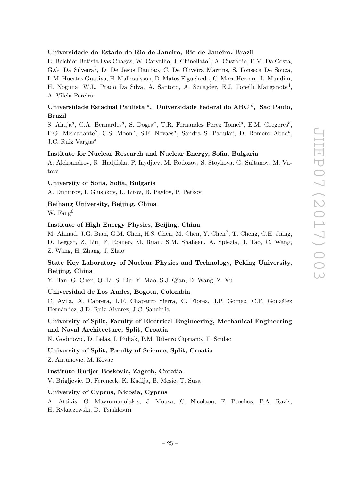#### Universidade do Estado do Rio de Janeiro, Rio de Janeiro, Brazil

E. Belchior Batista Das Chagas, W. Carvalho, J. Chinellato<sup>4</sup>, A. Custódio, E.M. Da Costa, G.G. Da Silveira<sup>5</sup>, D. De Jesus Damiao, C. De Oliveira Martins, S. Fonseca De Souza, L.M. Huertas Guativa, H. Malbouisson, D. Matos Figueiredo, C. Mora Herrera, L. Mundim, H. Nogima, W.L. Prado Da Silva, A. Santoro, A. Sznajder, E.J. Tonelli Manganote<sup>4</sup>, A. Vilela Pereira

# Universidade Estadual Paulista <sup>a</sup>, Universidade Federal do ABC  $^b$ , São Paulo, Brazil

S. Ahuja<sup>a</sup>, C.A. Bernardes<sup>a</sup>, S. Dogra<sup>a</sup>, T.R. Fernandez Perez Tomei<sup>a</sup>, E.M. Gregores<sup>b</sup>, P.G. Mercadante<sup>b</sup>, C.S. Moon<sup>a</sup>, S.F. Novaes<sup>a</sup>, Sandra S. Padula<sup>a</sup>, D. Romero Abad<sup>b</sup>, J.C. Ruiz Vargas $^a$ 

### Institute for Nuclear Research and Nuclear Energy, Sofia, Bulgaria

A. Aleksandrov, R. Hadjiiska, P. Iaydjiev, M. Rodozov, S. Stoykova, G. Sultanov, M. Vutova

#### University of Sofia, Sofia, Bulgaria

A. Dimitrov, I. Glushkov, L. Litov, B. Pavlov, P. Petkov

# Beihang University, Beijing, China

W. Fang<sup>6</sup>

# Institute of High Energy Physics, Beijing, China

M. Ahmad, J.G. Bian, G.M. Chen, H.S. Chen, M. Chen, Y. Chen<sup>7</sup>, T. Cheng, C.H. Jiang, D. Leggat, Z. Liu, F. Romeo, M. Ruan, S.M. Shaheen, A. Spiezia, J. Tao, C. Wang, Z. Wang, H. Zhang, J. Zhao

# State Key Laboratory of Nuclear Physics and Technology, Peking University, Beijing, China

Y. Ban, G. Chen, Q. Li, S. Liu, Y. Mao, S.J. Qian, D. Wang, Z. Xu

### Universidad de Los Andes, Bogota, Colombia

C. Avila, A. Cabrera, L.F. Chaparro Sierra, C. Florez, J.P. Gomez, C.F. González Hernández, J.D. Ruiz Alvarez, J.C. Sanabria

# University of Split, Faculty of Electrical Engineering, Mechanical Engineering and Naval Architecture, Split, Croatia

N. Godinovic, D. Lelas, I. Puljak, P.M. Ribeiro Cipriano, T. Sculac

#### University of Split, Faculty of Science, Split, Croatia

Z. Antunovic, M. Kovac

Institute Rudjer Boskovic, Zagreb, Croatia

V. Brigljevic, D. Ferencek, K. Kadija, B. Mesic, T. Susa

#### University of Cyprus, Nicosia, Cyprus

A. Attikis, G. Mavromanolakis, J. Mousa, C. Nicolaou, F. Ptochos, P.A. Razis, H. Rykaczewski, D. Tsiakkouri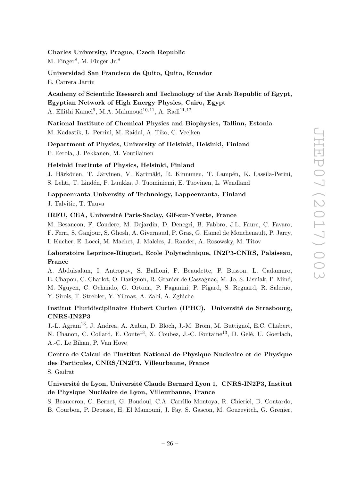# Charles University, Prague, Czech Republic

M. Finger<sup>8</sup>, M. Finger  $Jr.^8$ 

Universidad San Francisco de Quito, Quito, Ecuador E. Carrera Jarrin

Academy of Scientific Research and Technology of the Arab Republic of Egypt, Egyptian Network of High Energy Physics, Cairo, Egypt A. Ellithi Kamel<sup>9</sup>, M.A. Mahmoud<sup>10,11</sup>, A. Radi<sup>11,12</sup>

National Institute of Chemical Physics and Biophysics, Tallinn, Estonia M. Kadastik, L. Perrini, M. Raidal, A. Tiko, C. Veelken

Department of Physics, University of Helsinki, Helsinki, Finland

P. Eerola, J. Pekkanen, M. Voutilainen

# Helsinki Institute of Physics, Helsinki, Finland

J. Härkönen, T. Järvinen, V. Karimäki, R. Kinnunen, T. Lampén, K. Lassila-Perini, S. Lehti, T. Lind´en, P. Luukka, J. Tuominiemi, E. Tuovinen, L. Wendland

Lappeenranta University of Technology, Lappeenranta, Finland J. Talvitie, T. Tuuva

### IRFU, CEA, Université Paris-Saclay, Gif-sur-Yvette, France

M. Besancon, F. Couderc, M. Dejardin, D. Denegri, B. Fabbro, J.L. Faure, C. Favaro, F. Ferri, S. Ganjour, S. Ghosh, A. Givernaud, P. Gras, G. Hamel de Monchenault, P. Jarry, I. Kucher, E. Locci, M. Machet, J. Malcles, J. Rander, A. Rosowsky, M. Titov

# Laboratoire Leprince-Ringuet, Ecole Polytechnique, IN2P3-CNRS, Palaiseau, France

A. Abdulsalam, I. Antropov, S. Baffioni, F. Beaudette, P. Busson, L. Cadamuro, E. Chapon, C. Charlot, O. Davignon, R. Granier de Cassagnac, M. Jo, S. Lisniak, P. Miné, M. Nguyen, C. Ochando, G. Ortona, P. Paganini, P. Pigard, S. Regnard, R. Salerno, Y. Sirois, T. Strebler, Y. Yilmaz, A. Zabi, A. Zghiche

# Institut Pluridisciplinaire Hubert Curien (IPHC), Université de Strasbourg, CNRS-IN2P3

J.-L. Agram13, J. Andrea, A. Aubin, D. Bloch, J.-M. Brom, M. Buttignol, E.C. Chabert, N. Chanon, C. Collard, E. Conte<sup>13</sup>, X. Coubez, J.-C. Fontaine<sup>13</sup>, D. Gelé, U. Goerlach, A.-C. Le Bihan, P. Van Hove

Centre de Calcul de l'Institut National de Physique Nucleaire et de Physique des Particules, CNRS/IN2P3, Villeurbanne, France S. Gadrat

# Université de Lyon, Université Claude Bernard Lyon 1, CNRS-IN2P3, Institut de Physique Nucléaire de Lyon, Villeurbanne, France

S. Beauceron, C. Bernet, G. Boudoul, C.A. Carrillo Montoya, R. Chierici, D. Contardo, B. Courbon, P. Depasse, H. El Mamouni, J. Fay, S. Gascon, M. Gouzevitch, G. Grenier,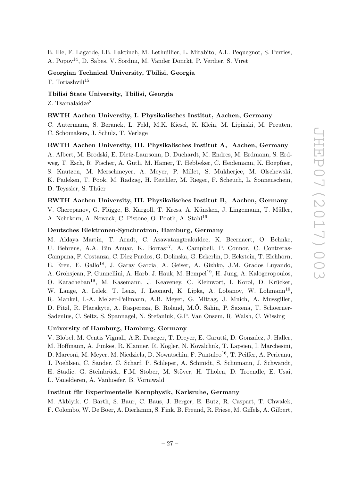B. Ille, F. Lagarde, I.B. Laktineh, M. Lethuillier, L. Mirabito, A.L. Pequegnot, S. Perries, A. Popov14, D. Sabes, V. Sordini, M. Vander Donckt, P. Verdier, S. Viret

# Georgian Technical University, Tbilisi, Georgia

T. Toriashvili<sup>15</sup>

#### Tbilisi State University, Tbilisi, Georgia

Z. Tsamalaidze<sup>8</sup>

### RWTH Aachen University, I. Physikalisches Institut, Aachen, Germany

C. Autermann, S. Beranek, L. Feld, M.K. Kiesel, K. Klein, M. Lipinski, M. Preuten, C. Schomakers, J. Schulz, T. Verlage

#### RWTH Aachen University, III. Physikalisches Institut A, Aachen, Germany

A. Albert, M. Brodski, E. Dietz-Laursonn, D. Duchardt, M. Endres, M. Erdmann, S. Erdweg, T. Esch, R. Fischer, A. Güth, M. Hamer, T. Hebbeker, C. Heidemann, K. Hoepfner, S. Knutzen, M. Merschmeyer, A. Meyer, P. Millet, S. Mukherjee, M. Olschewski, K. Padeken, T. Pook, M. Radziej, H. Reithler, M. Rieger, F. Scheuch, L. Sonnenschein, D. Teyssier, S. Thüer

### RWTH Aachen University, III. Physikalisches Institut B, Aachen, Germany

V. Cherepanov, G. Flügge, B. Kargoll, T. Kress, A. Künsken, J. Lingemann, T. Müller, A. Nehrkorn, A. Nowack, C. Pistone, O. Pooth, A. Stahl<sup>16</sup>

### Deutsches Elektronen-Synchrotron, Hamburg, Germany

M. Aldaya Martin, T. Arndt, C. Asawatangtrakuldee, K. Beernaert, O. Behnke, U. Behrens, A.A. Bin Anuar, K. Borras<sup>17</sup>, A. Campbell, P. Connor, C. Contreras-Campana, F. Costanza, C. Diez Pardos, G. Dolinska, G. Eckerlin, D. Eckstein, T. Eichhorn, E. Eren, E. Gallo<sup>18</sup>, J. Garay Garcia, A. Geiser, A. Gizhko, J.M. Grados Luyando, A. Grohsjean, P. Gunnellini, A. Harb, J. Hauk, M. Hempel<sup>19</sup>, H. Jung, A. Kalogeropoulos, O. Karacheban<sup>19</sup>, M. Kasemann, J. Keaveney, C. Kleinwort, I. Korol, D. Krücker, W. Lange, A. Lelek, T. Lenz, J. Leonard, K. Lipka, A. Lobanov, W. Lohmann<sup>19</sup>, R. Mankel, I.-A. Melzer-Pellmann, A.B. Meyer, G. Mittag, J. Mnich, A. Mussgiller, D. Pitzl, R. Placakyte, A. Raspereza, B. Roland, M.O. Sahin, P. Saxena, T. Schoerner-Sadenius, C. Seitz, S. Spannagel, N. Stefaniuk, G.P. Van Onsem, R. Walsh, C. Wissing

### University of Hamburg, Hamburg, Germany

V. Blobel, M. Centis Vignali, A.R. Draeger, T. Dreyer, E. Garutti, D. Gonzalez, J. Haller, M. Hoffmann, A. Junkes, R. Klanner, R. Kogler, N. Kovalchuk, T. Lapsien, I. Marchesini, D. Marconi, M. Meyer, M. Niedziela, D. Nowatschin, F. Pantaleo<sup>16</sup>, T. Peiffer, A. Perieanu, J. Poehlsen, C. Sander, C. Scharf, P. Schleper, A. Schmidt, S. Schumann, J. Schwandt, H. Stadie, G. Steinbrück, F.M. Stober, M. Stöver, H. Tholen, D. Troendle, E. Usai, L. Vanelderen, A. Vanhoefer, B. Vormwald

# Institut für Experimentelle Kernphysik, Karlsruhe, Germany

M. Akbiyik, C. Barth, S. Baur, C. Baus, J. Berger, E. Butz, R. Caspart, T. Chwalek, F. Colombo, W. De Boer, A. Dierlamm, S. Fink, B. Freund, R. Friese, M. Giffels, A. Gilbert,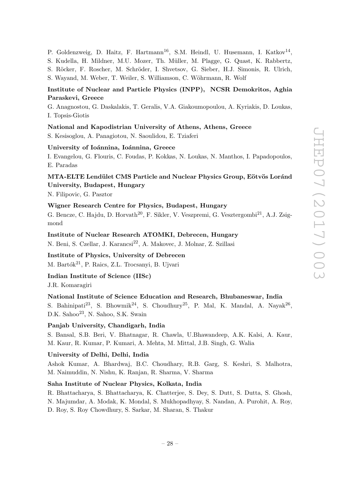P. Goldenzweig, D. Haitz, F. Hartmann<sup>16</sup>, S.M. Heindl, U. Husemann, I. Katkov<sup>14</sup>, S. Kudella, H. Mildner, M.U. Mozer, Th. Müller, M. Plagge, G. Quast, K. Rabbertz, S. Röcker, F. Roscher, M. Schröder, I. Shvetsov, G. Sieber, H.J. Simonis, R. Ulrich, S. Wayand, M. Weber, T. Weiler, S. Williamson, C. Wöhrmann, R. Wolf

# Institute of Nuclear and Particle Physics (INPP), NCSR Demokritos, Aghia Paraskevi, Greece

G. Anagnostou, G. Daskalakis, T. Geralis, V.A. Giakoumopoulou, A. Kyriakis, D. Loukas, I. Topsis-Giotis

# National and Kapodistrian University of Athens, Athens, Greece

S. Kesisoglou, A. Panagiotou, N. Saoulidou, E. Tziaferi

# University of Ioánnina, Ioánnina, Greece

I. Evangelou, G. Flouris, C. Foudas, P. Kokkas, N. Loukas, N. Manthos, I. Papadopoulos, E. Paradas

# MTA-ELTE Lendület CMS Particle and Nuclear Physics Group, Eötvös Loránd University, Budapest, Hungary

N. Filipovic, G. Pasztor

# Wigner Research Centre for Physics, Budapest, Hungary

G. Bencze, C. Hajdu, D. Horvath<sup>20</sup>, F. Sikler, V. Veszpremi, G. Vesztergombi<sup>21</sup>, A.J. Zsigmond

# Institute of Nuclear Research ATOMKI, Debrecen, Hungary

N. Beni, S. Czellar, J. Karancsi<sup>22</sup>, A. Makovec, J. Molnar, Z. Szillasi

Institute of Physics, University of Debrecen M. Bartók<sup>21</sup>, P. Raics, Z.L. Trocsanyi, B. Ujvari

# Indian Institute of Science (IISc)

J.R. Komaragiri

# National Institute of Science Education and Research, Bhubaneswar, India

S. Bahinipati<sup>23</sup>, S. Bhowmik<sup>24</sup>, S. Choudhury<sup>25</sup>, P. Mal, K. Mandal, A. Nayak<sup>26</sup>, D.K. Sahoo<sup>23</sup>, N. Sahoo, S.K. Swain

### Panjab University, Chandigarh, India

S. Bansal, S.B. Beri, V. Bhatnagar, R. Chawla, U.Bhawandeep, A.K. Kalsi, A. Kaur, M. Kaur, R. Kumar, P. Kumari, A. Mehta, M. Mittal, J.B. Singh, G. Walia

# University of Delhi, Delhi, India

Ashok Kumar, A. Bhardwaj, B.C. Choudhary, R.B. Garg, S. Keshri, S. Malhotra, M. Naimuddin, N. Nishu, K. Ranjan, R. Sharma, V. Sharma

# Saha Institute of Nuclear Physics, Kolkata, India

R. Bhattacharya, S. Bhattacharya, K. Chatterjee, S. Dey, S. Dutt, S. Dutta, S. Ghosh, N. Majumdar, A. Modak, K. Mondal, S. Mukhopadhyay, S. Nandan, A. Purohit, A. Roy, D. Roy, S. Roy Chowdhury, S. Sarkar, M. Sharan, S. Thakur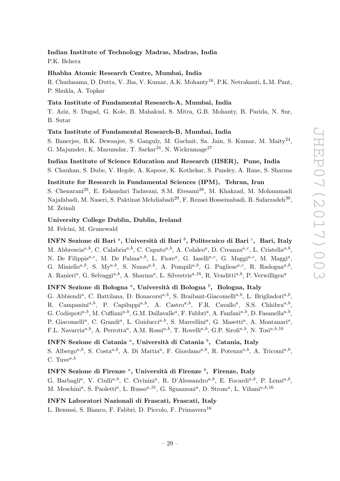### Indian Institute of Technology Madras, Madras, India

P.K. Behera

### Bhabha Atomic Research Centre, Mumbai, India

R. Chudasama, D. Dutta, V. Jha, V. Kumar, A.K. Mohanty<sup>16</sup>, P.K. Netrakanti, L.M. Pant, P. Shukla, A. Topkar

# Tata Institute of Fundamental Research-A, Mumbai, India

T. Aziz, S. Dugad, G. Kole, B. Mahakud, S. Mitra, G.B. Mohanty, B. Parida, N. Sur, B. Sutar

### Tata Institute of Fundamental Research-B, Mumbai, India

S. Banerjee, R.K. Dewanjee, S. Ganguly, M. Guchait, Sa. Jain, S. Kumar, M. Maity<sup>24</sup>, G. Majumder, K. Mazumdar, T. Sarkar<sup>24</sup>, N. Wickramage<sup>27</sup>

### Indian Institute of Science Education and Research (IISER), Pune, India

S. Chauhan, S. Dube, V. Hegde, A. Kapoor, K. Kothekar, S. Pandey, A. Rane, S. Sharma

### Institute for Research in Fundamental Sciences (IPM), Tehran, Iran

S. Chenarani28, E. Eskandari Tadavani, S.M. Etesami28, M. Khakzad, M. Mohammadi Najafabadi, M. Naseri, S. Paktinat Mehdiabadi<sup>29</sup>, F. Rezaei Hosseinabadi, B. Safarzadeh<sup>30</sup>, M. Zeinali

### University College Dublin, Dublin, Ireland

M. Felcini, M. Grunewald

# INFN Sezione di Bari <sup>a</sup>, Università di Bari  $^b$ , Politecnico di Bari  $^c$ , Bari, Italy

M. Abbrescia<sup>a,b</sup>, C. Calabria<sup>a,b</sup>, C. Caputo<sup>a,b</sup>, A. Colaleo<sup>a</sup>, D. Creanza<sup>a,c</sup>, L. Cristella<sup>a,b</sup>, N. De Filippis<sup>a,c</sup>, M. De Palma<sup>a,b</sup>, L. Fiore<sup>a</sup>, G. Iaselli<sup>a,c</sup>, G. Maggi<sup>a,c</sup>, M. Maggi<sup>a</sup>, G. Miniello<sup>a,b</sup>, S. My<sup>a,b</sup>, S. Nuzzo<sup>a,b</sup>, A. Pompili<sup>a,b</sup>, G. Pugliese<sup>a,c</sup>, R. Radogna<sup>a,b</sup>, A. Ranieri<sup>a</sup>, G. Selvaggi<sup>a,b</sup>, A. Sharma<sup>a</sup>, L. Silvestris<sup>a,16</sup>, R. Venditti<sup>a,b</sup>, P. Verwilligen<sup>a</sup>

# INFN Sezione di Bologna <sup>a</sup>, Università di Bologna  $^b$ , Bologna, Italy

G. Abbiendi<sup>a</sup>, C. Battilana, D. Bonacorsi<sup>a,b</sup>, S. Braibant-Giacomelli<sup>a,b</sup>, L. Brigliadori<sup>a,b</sup>, R. Campanini<sup>a,b</sup>, P. Capiluppi<sup>a,b</sup>, A. Castro<sup>a,b</sup>, F.R. Cavallo<sup>a</sup>, S.S. Chhibra<sup>a,b</sup>, G. Codispoti<sup>a,b</sup>, M. Cuffiani<sup>a,b</sup>, G.M. Dallavalle<sup>a</sup>, F. Fabbri<sup>a</sup>, A. Fanfani<sup>a,b</sup>, D. Fasanella<sup>a,b</sup>, P. Giacomelli<sup>a</sup>, C. Grandi<sup>a</sup>, L. Guiducci<sup>a,b</sup>, S. Marcellini<sup>a</sup>, G. Masetti<sup>a</sup>, A. Montanari<sup>a</sup>, F.L. Navarria<sup>a,b</sup>, A. Perrotta<sup>a</sup>, A.M. Rossi<sup>a,b</sup>, T. Rovelli<sup>a,b</sup>, G.P. Siroli<sup>a,b</sup>, N. Tosi<sup>a,b,16</sup>

# INFN Sezione di Catania <sup>a</sup>, Università di Catania  $^b$ , Catania, Italy

S. Albergo<sup>a,b</sup>, S. Costa<sup>a,b</sup>, A. Di Mattia<sup>a</sup>, F. Giordano<sup>a,b</sup>, R. Potenza<sup>a,b</sup>, A. Tricomi<sup>a,b</sup>, C. Tuve $^{a,b}$ 

# INFN Sezione di Firenze <sup>a</sup>, Università di Firenze  $^b$ , Firenze, Italy

G. Barbagli<sup>a</sup>, V. Ciulli<sup>a,b</sup>, C. Civinini<sup>a</sup>, R. D'Alessandro<sup>a,b</sup>, E. Focardi<sup>a,b</sup>, P. Lenzi<sup>a,b</sup>, M. Meschini<sup>a</sup>, S. Paoletti<sup>a</sup>, L. Russo<sup>a, 31</sup>, G. Sguazzoni<sup>a</sup>, D. Strom<sup>a</sup>, L. Viliani<sup>a, b, 16</sup>

### INFN Laboratori Nazionali di Frascati, Frascati, Italy

L. Benussi, S. Bianco, F. Fabbri, D. Piccolo, F. Primavera<sup>16</sup>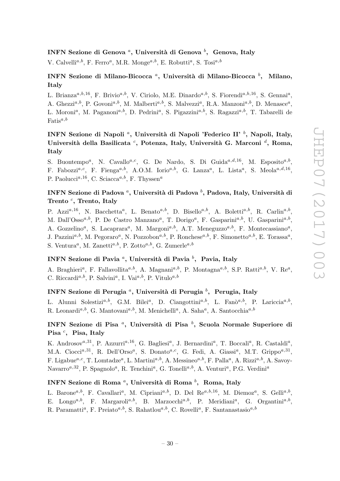# INFN Sezione di Genova  $^a,$  Università di Genova  $^b, \,$  Genova, Italy

V. Calvelli<sup>a,b</sup>, F. Ferro<sup>a</sup>, M.R. Monge<sup>a,b</sup>, E. Robutti<sup>a</sup>, S. Tosi<sup>a,b</sup>

# INFN Sezione di Milano-Bicocca <sup>a</sup>, Università di Milano-Bicocca <sup>b</sup>, Milano, Italy

L. Brianza<sup>a,b,16</sup>, F. Brivio<sup>a,b</sup>, V. Ciriolo, M.E. Dinardo<sup>a,b</sup>, S. Fiorendi<sup>a,b,16</sup>, S. Gennai<sup>a</sup>, A. Ghezzi<sup>a,b</sup>, P. Govoni<sup>a,b</sup>, M. Malberti<sup>a,b</sup>, S. Malvezzi<sup>a</sup>, R.A. Manzoni<sup>a,b</sup>, D. Menasce<sup>a</sup>, L. Moroni<sup>a</sup>, M. Paganoni<sup>a,b</sup>, D. Pedrini<sup>a</sup>, S. Pigazzini<sup>a,b</sup>, S. Ragazzi<sup>a,b</sup>, T. Tabarelli de  $Fatis<sup>a,b</sup>$ 

# INFN Sezione di Napoli <sup>a</sup>, Università di Napoli 'Federico II'  $^b$ , Napoli, Italy, Università della Basilicata  $^c$ , Potenza, Italy, Università G. Marconi  $^d$ , Roma, Italy

S. Buontempo<sup>a</sup>, N. Cavallo<sup>a,c</sup>, G. De Nardo, S. Di Guida<sup>a,d,16</sup>, M. Esposito<sup>a,b</sup>, F. Fabozzi<sup>a,c</sup>, F. Fienga<sup>a,b</sup>, A.O.M. Iorio<sup>a,b</sup>, G. Lanza<sup>a</sup>, L. Lista<sup>a</sup>, S. Meola<sup>a,d,16</sup>, P. Paolucci<sup>a, 16</sup>, C. Sciacca<sup>a,b</sup>, F. Thyssen<sup>a</sup>

# INFN Sezione di Padova <sup>a</sup>, Università di Padova  $^b$ , Padova, Italy, Università di  $Trento<sup>c</sup>$ , Trento, Italy

P. Azzi<sup>a, 16</sup>, N. Bacchetta<sup>a</sup>, L. Benato<sup>a,b</sup>, D. Bisello<sup>a,b</sup>, A. Boletti<sup>a,b</sup>, R. Carlin<sup>a,b</sup>, M. Dall'Osso<sup>a,b</sup>, P. De Castro Manzano<sup>a</sup>, T. Dorigo<sup>a</sup>, F. Gasparini<sup>a,b</sup>, U. Gasparini<sup>a,b</sup>, A. Gozzelino<sup>a</sup>, S. Lacaprara<sup>a</sup>, M. Margoni<sup>a,b</sup>, A.T. Meneguzzo<sup>a,b</sup>, F. Montecassiano<sup>a</sup>, J. Pazzini<sup>a,b</sup>, M. Pegoraro<sup>a</sup>, N. Pozzobon<sup>a,b</sup>, P. Ronchese<sup>a,b</sup>, F. Simonetto<sup>a,b</sup>, E. Torassa<sup>a</sup>, S. Ventura<sup>a</sup>, M. Zanetti<sup>a,b</sup>, P. Zotto<sup>a,b</sup>, G. Zumerle<sup>a,b</sup>

# INFN Sezione di Pavia <sup>a</sup>, Università di Pavia  $^b$ , Pavia, Italy

A. Braghieri<sup>a</sup>, F. Fallavollita<sup>a,b</sup>, A. Magnani<sup>a,b</sup>, P. Montagna<sup>a,b</sup>, S.P. Ratti<sup>a,b</sup>, V. Re<sup>a</sup>, C. Riccardi<sup>a,b</sup>, P. Salvini<sup>a</sup>, I. Vai<sup>a,b</sup>, P. Vitulo<sup>a,b</sup>

# INFN Sezione di Perugia <sup>a</sup>, Università di Perugia  $^b$ , Perugia, Italy

L. Alunni Solestizi<sup>a,b</sup>, G.M. Bilei<sup>a</sup>, D. Ciangottini<sup>a,b</sup>, L. Fanò<sup>a,b</sup>, P. Lariccia<sup>a,b</sup>, R. Leonardi<sup>a, b</sup>, G. Mantovani<sup>a, b</sup>, M. Menichelli<sup>a</sup>, A. Saha<sup>a</sup>, A. Santocchia<sup>a, b</sup>

# INFN Sezione di Pisa <sup>a</sup>, Università di Pisa <sup>b</sup>, Scuola Normale Superiore di Pisa<sup>c</sup>, Pisa, Italy

K. Androsov<sup>a, 31</sup>, P. Azzurri<sup>a, 16</sup>, G. Bagliesi<sup>a</sup>, J. Bernardini<sup>a</sup>, T. Boccali<sup>a</sup>, R. Castaldi<sup>a</sup>, M.A. Ciocci<sup>a,31</sup>, R. Dell'Orso<sup>a</sup>, S. Donato<sup>a,c</sup>, G. Fedi, A. Giassi<sup>a</sup>, M.T. Grippo<sup>a,31</sup>, F. Ligabue<sup>a, c</sup>, T. Lomtadze<sup>a</sup>, L. Martini<sup>a, b</sup>, A. Messineo<sup>a, b</sup>, F. Palla<sup>a</sup>, A. Rizzi<sup>a, b</sup>, A. Savoy-Navarro<sup>a, 32</sup>, P. Spagnolo<sup>a</sup>, R. Tenchini<sup>a</sup>, G. Tonelli<sup>a, b</sup>, A. Venturi<sup>a</sup>, P.G. Verdini<sup>a</sup>

# INFN Sezione di Roma  $^a,$  Università di Roma  $^b, \, \,$  Roma, Italy

L. Barone<sup>a,b</sup>, F. Cavallari<sup>a</sup>, M. Cipriani<sup>a,b</sup>, D. Del Re<sup>a,b,16</sup>, M. Diemoz<sup>a</sup>, S. Gelli<sup>a,b</sup>, E. Longo<sup>a,b</sup>, F. Margaroli<sup>a,b</sup>, B. Marzocchi<sup>a,b</sup>, P. Meridiani<sup>a</sup>, G. Organtini<sup>a,b</sup>, R. Paramatti<sup>a</sup>, F. Preiato<sup>a,b</sup>, S. Rahatlou<sup>a,b</sup>, C. Rovelli<sup>a</sup>, F. Santanastasio<sup>a,b</sup>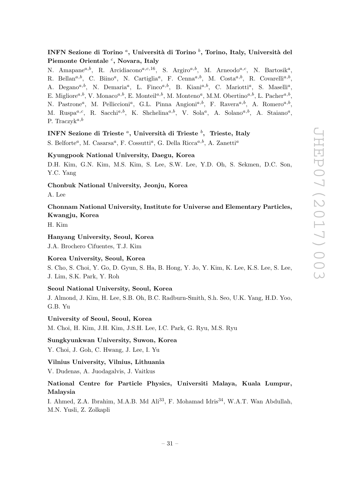# INFN Sezione di Torino <sup>a</sup>, Università di Torino  $^b,$  Torino, Italy, Università del Piemonte Orientale  $^c$ , Novara, Italy

N. Amapane<sup>a,b</sup>, R. Arcidiacono<sup>a,c,16</sup>, S. Argiro<sup>a,b</sup>, M. Arneodo<sup>a,c</sup>, N. Bartosik<sup>a</sup>, R. Bellan<sup>a,b</sup>, C. Biino<sup>a</sup>, N. Cartiglia<sup>a</sup>, F. Cenna<sup>a,b</sup>, M. Costa<sup>a,b</sup>, R. Covarelli<sup>a,b</sup>, A. Degano<sup>a,b</sup>, N. Demaria<sup>a</sup>, L. Finco<sup>a,b</sup>, B. Kiani<sup>a,b</sup>, C. Mariotti<sup>a</sup>, S. Maselli<sup>a</sup>, E. Migliore<sup>a,b</sup>, V. Monaco<sup>a,b</sup>, E. Monteil<sup>a,b</sup>, M. Monteno<sup>a</sup>, M.M. Obertino<sup>a,b</sup>, L. Pacher<sup>a,b</sup>, N. Pastrone<sup>a</sup>, M. Pelliccioni<sup>a</sup>, G.L. Pinna Angioni<sup>a,b</sup>, F. Ravera<sup>a,b</sup>, A. Romero<sup>a,b</sup>, M. Ruspa<sup>a,c</sup>, R. Sacchi<sup>a,b</sup>, K. Shchelina<sup>a,b</sup>, V. Sola<sup>a</sup>, A. Solano<sup>a,b</sup>, A. Staiano<sup>a</sup>, P. Traczyk $a,b$ 

INFN Sezione di Trieste <sup>a</sup>, Università di Trieste  $^b$ , Trieste, Italy

S. Belforte<sup>a</sup>, M. Casarsa<sup>a</sup>, F. Cossutti<sup>a</sup>, G. Della Ricca<sup>a,b</sup>, A. Zanetti<sup>a</sup>

### Kyungpook National University, Daegu, Korea

D.H. Kim, G.N. Kim, M.S. Kim, S. Lee, S.W. Lee, Y.D. Oh, S. Sekmen, D.C. Son, Y.C. Yang

Chonbuk National University, Jeonju, Korea

A. Lee

Chonnam National University, Institute for Universe and Elementary Particles, Kwangju, Korea H. Kim

Hanyang University, Seoul, Korea J.A. Brochero Cifuentes, T.J. Kim

### Korea University, Seoul, Korea

S. Cho, S. Choi, Y. Go, D. Gyun, S. Ha, B. Hong, Y. Jo, Y. Kim, K. Lee, K.S. Lee, S. Lee, J. Lim, S.K. Park, Y. Roh

#### Seoul National University, Seoul, Korea

J. Almond, J. Kim, H. Lee, S.B. Oh, B.C. Radburn-Smith, S.h. Seo, U.K. Yang, H.D. Yoo, G.B. Yu

University of Seoul, Seoul, Korea

M. Choi, H. Kim, J.H. Kim, J.S.H. Lee, I.C. Park, G. Ryu, M.S. Ryu

### Sungkyunkwan University, Suwon, Korea

Y. Choi, J. Goh, C. Hwang, J. Lee, I. Yu

Vilnius University, Vilnius, Lithuania

V. Dudenas, A. Juodagalvis, J. Vaitkus

# National Centre for Particle Physics, Universiti Malaya, Kuala Lumpur, Malaysia

I. Ahmed, Z.A. Ibrahim, M.A.B. Md Ali<sup>33</sup>, F. Mohamad Idris<sup>34</sup>, W.A.T. Wan Abdullah, M.N. Yusli, Z. Zolkapli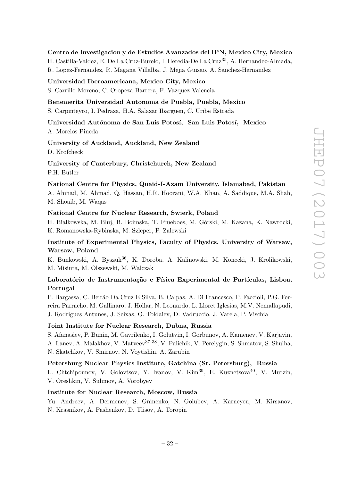### Centro de Investigacion y de Estudios Avanzados del IPN, Mexico City, Mexico

H. Castilla-Valdez, E. De La Cruz-Burelo, I. Heredia-De La Cruz<sup>35</sup>, A. Hernandez-Almada, R. Lopez-Fernandez, R. Magaña Villalba, J. Mejia Guisao, A. Sanchez-Hernandez

#### Universidad Iberoamericana, Mexico City, Mexico

S. Carrillo Moreno, C. Oropeza Barrera, F. Vazquez Valencia

#### Benemerita Universidad Autonoma de Puebla, Puebla, Mexico

S. Carpinteyro, I. Pedraza, H.A. Salazar Ibarguen, C. Uribe Estrada

# Universidad Autónoma de San Luis Potosí, San Luis Potosí, Mexico

A. Morelos Pineda

# University of Auckland, Auckland, New Zealand

D. Krofcheck

University of Canterbury, Christchurch, New Zealand P.H. Butler

#### National Centre for Physics, Quaid-I-Azam University, Islamabad, Pakistan

A. Ahmad, M. Ahmad, Q. Hassan, H.R. Hoorani, W.A. Khan, A. Saddique, M.A. Shah, M. Shoaib, M. Waqas

#### National Centre for Nuclear Research, Swierk, Poland

H. Bialkowska, M. Bluj, B. Boimska, T. Frueboes, M. G´orski, M. Kazana, K. Nawrocki, K. Romanowska-Rybinska, M. Szleper, P. Zalewski

# Institute of Experimental Physics, Faculty of Physics, University of Warsaw, Warsaw, Poland

K. Bunkowski, A. Byszuk36, K. Doroba, A. Kalinowski, M. Konecki, J. Krolikowski, M. Misiura, M. Olszewski, M. Walczak

# Laboratório de Instrumentação e Física Experimental de Partículas, Lisboa, Portugal

P. Bargassa, C. Beirão Da Cruz E Silva, B. Calpas, A. Di Francesco, P. Faccioli, P.G. Ferreira Parracho, M. Gallinaro, J. Hollar, N. Leonardo, L. Lloret Iglesias, M.V. Nemallapudi, J. Rodrigues Antunes, J. Seixas, O. Toldaiev, D. Vadruccio, J. Varela, P. Vischia

### Joint Institute for Nuclear Research, Dubna, Russia

S. Afanasiev, P. Bunin, M. Gavrilenko, I. Golutvin, I. Gorbunov, A. Kamenev, V. Karjavin, A. Lanev, A. Malakhov, V. Matveev<sup>37,38</sup>, V. Palichik, V. Perelygin, S. Shmatov, S. Shulha, N. Skatchkov, V. Smirnov, N. Voytishin, A. Zarubin

#### Petersburg Nuclear Physics Institute, Gatchina (St. Petersburg), Russia

L. Chtchipounov, V. Golovtsov, Y. Ivanov, V. Kim<sup>39</sup>, E. Kuznetsova<sup>40</sup>, V. Murzin, V. Oreshkin, V. Sulimov, A. Vorobyev

### Institute for Nuclear Research, Moscow, Russia

Yu. Andreev, A. Dermenev, S. Gninenko, N. Golubev, A. Karneyeu, M. Kirsanov, N. Krasnikov, A. Pashenkov, D. Tlisov, A. Toropin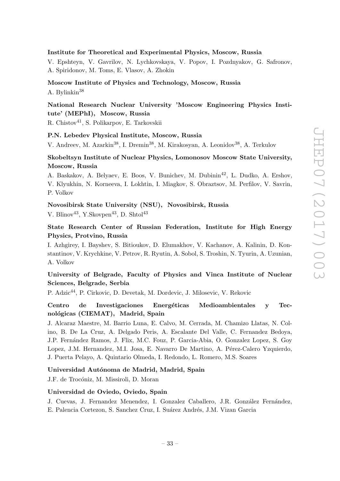### Institute for Theoretical and Experimental Physics, Moscow, Russia

V. Epshteyn, V. Gavrilov, N. Lychkovskaya, V. Popov, I. Pozdnyakov, G. Safronov, A. Spiridonov, M. Toms, E. Vlasov, A. Zhokin

# Moscow Institute of Physics and Technology, Moscow, Russia A. Bylinkin<sup>38</sup>

# National Research Nuclear University 'Moscow Engineering Physics Institute' (MEPhI), Moscow, Russia

R. Chistov<sup>41</sup>, S. Polikarpov, E. Tarkovskii

# P.N. Lebedev Physical Institute, Moscow, Russia

V. Andreev, M. Azarkin<sup>38</sup>, I. Dremin<sup>38</sup>, M. Kirakosyan, A. Leonidov<sup>38</sup>, A. Terkulov

# Skobeltsyn Institute of Nuclear Physics, Lomonosov Moscow State University, Moscow, Russia

A. Baskakov, A. Belyaev, E. Boos, V. Bunichev, M. Dubinin<sup>42</sup>, L. Dudko, A. Ershov, V. Klyukhin, N. Korneeva, I. Lokhtin, I. Miagkov, S. Obraztsov, M. Perfilov, V. Savrin, P. Volkov

### Novosibirsk State University (NSU), Novosibirsk, Russia

V. Blinov<sup>43</sup>, Y.Skovpen<sup>43</sup>, D. Shtol<sup>43</sup>

# State Research Center of Russian Federation, Institute for High Energy Physics, Protvino, Russia

I. Azhgirey, I. Bayshev, S. Bitioukov, D. Elumakhov, V. Kachanov, A. Kalinin, D. Konstantinov, V. Krychkine, V. Petrov, R. Ryutin, A. Sobol, S. Troshin, N. Tyurin, A. Uzunian, A. Volkov

# University of Belgrade, Faculty of Physics and Vinca Institute of Nuclear Sciences, Belgrade, Serbia

P. Adzic<sup>44</sup>, P. Cirkovic, D. Devetak, M. Dordevic, J. Milosevic, V. Rekovic

# Centro de Investigaciones Energéticas Medioambientales y Tecnológicas (CIEMAT), Madrid, Spain

J. Alcaraz Maestre, M. Barrio Luna, E. Calvo, M. Cerrada, M. Chamizo Llatas, N. Colino, B. De La Cruz, A. Delgado Peris, A. Escalante Del Valle, C. Fernandez Bedoya, J.P. Fernández Ramos, J. Flix, M.C. Fouz, P. Garcia-Abia, O. Gonzalez Lopez, S. Goy Lopez, J.M. Hernandez, M.I. Josa, E. Navarro De Martino, A. Pérez-Calero Yzquierdo, J. Puerta Pelayo, A. Quintario Olmeda, I. Redondo, L. Romero, M.S. Soares

#### Universidad Autónoma de Madrid, Madrid, Spain

J.F. de Trocóniz, M. Missiroli, D. Moran

### Universidad de Oviedo, Oviedo, Spain

J. Cuevas, J. Fernandez Menendez, I. Gonzalez Caballero, J.R. González Fernández,

E. Palencia Cortezon, S. Sanchez Cruz, I. Suárez Andrés, J.M. Vizan Garcia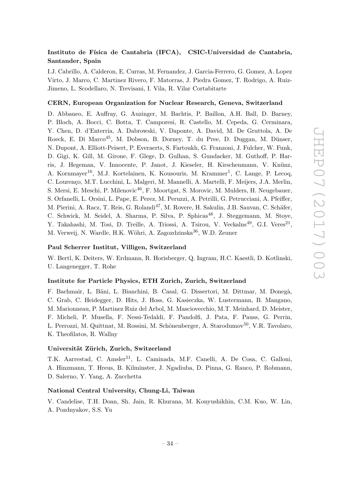# Instituto de Física de Cantabria (IFCA), CSIC-Universidad de Cantabria, Santander, Spain

I.J. Cabrillo, A. Calderon, E. Curras, M. Fernandez, J. Garcia-Ferrero, G. Gomez, A. Lopez Virto, J. Marco, C. Martinez Rivero, F. Matorras, J. Piedra Gomez, T. Rodrigo, A. Ruiz-Jimeno, L. Scodellaro, N. Trevisani, I. Vila, R. Vilar Cortabitarte

### CERN, European Organization for Nuclear Research, Geneva, Switzerland

D. Abbaneo, E. Auffray, G. Auzinger, M. Bachtis, P. Baillon, A.H. Ball, D. Barney, P. Bloch, A. Bocci, C. Botta, T. Camporesi, R. Castello, M. Cepeda, G. Cerminara, Y. Chen, D. d'Enterria, A. Dabrowski, V. Daponte, A. David, M. De Gruttola, A. De Roeck, E. Di Marco<sup>45</sup>, M. Dobson, B. Dorney, T. du Pree, D. Duggan, M. Dünser, N. Dupont, A. Elliott-Peisert, P. Everaerts, S. Fartoukh, G. Franzoni, J. Fulcher, W. Funk, D. Gigi, K. Gill, M. Girone, F. Glege, D. Gulhan, S. Gundacker, M. Guthoff, P. Harris, J. Hegeman, V. Innocente, P. Janot, J. Kieseler, H. Kirschenmann, V. Knünz, A. Kornmayer<sup>16</sup>, M.J. Kortelainen, K. Kousouris, M. Krammer<sup>1</sup>, C. Lange, P. Lecoq, C. Lourenço, M.T. Lucchini, L. Malgeri, M. Mannelli, A. Martelli, F. Meijers, J.A. Merlin, S. Mersi, E. Meschi, P. Milenovic<sup>46</sup>, F. Moortgat, S. Morovic, M. Mulders, H. Neugebauer, S. Orfanelli, L. Orsini, L. Pape, E. Perez, M. Peruzzi, A. Petrilli, G. Petrucciani, A. Pfeiffer, M. Pierini, A. Racz, T. Reis, G. Rolandi<sup>47</sup>, M. Rovere, H. Sakulin, J.B. Sauvan, C. Schäfer, C. Schwick, M. Seidel, A. Sharma, P. Silva, P. Sphicas<sup>48</sup>, J. Steggemann, M. Stoye, Y. Takahashi, M. Tosi, D. Treille, A. Triossi, A. Tsirou, V. Veckalns<sup>49</sup>, G.I. Veres<sup>21</sup>, M. Verweij, N. Wardle, H.K. Wöhri, A. Zagozdzinska<sup>36</sup>, W.D. Zeuner

### Paul Scherrer Institut, Villigen, Switzerland

W. Bertl, K. Deiters, W. Erdmann, R. Horisberger, Q. Ingram, H.C. Kaestli, D. Kotlinski, U. Langenegger, T. Rohe

### Institute for Particle Physics, ETH Zurich, Zurich, Switzerland

F. Bachmair, L. Bäni, L. Bianchini, B. Casal, G. Dissertori, M. Dittmar, M. Donegà, C. Grab, C. Heidegger, D. Hits, J. Hoss, G. Kasieczka, W. Lustermann, B. Mangano, M. Marionneau, P. Martinez Ruiz del Arbol, M. Masciovecchio, M.T. Meinhard, D. Meister, F. Micheli, P. Musella, F. Nessi-Tedaldi, F. Pandolfi, J. Pata, F. Pauss, G. Perrin, L. Perrozzi, M. Quittnat, M. Rossini, M. Schönenberger, A. Starodumov<sup>50</sup>, V.R. Tavolaro, K. Theofilatos, R. Wallny

### Universität Zürich, Zurich, Switzerland

T.K. Aarrestad, C. Amsler<sup>51</sup>, L. Caminada, M.F. Canelli, A. De Cosa, C. Galloni, A. Hinzmann, T. Hreus, B. Kilminster, J. Ngadiuba, D. Pinna, G. Rauco, P. Robmann, D. Salerno, Y. Yang, A. Zucchetta

### National Central University, Chung-Li, Taiwan

V. Candelise, T.H. Doan, Sh. Jain, R. Khurana, M. Konyushikhin, C.M. Kuo, W. Lin, A. Pozdnyakov, S.S. Yu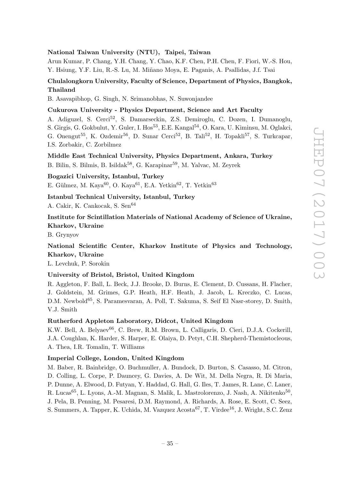### National Taiwan University (NTU), Taipei, Taiwan

Arun Kumar, P. Chang, Y.H. Chang, Y. Chao, K.F. Chen, P.H. Chen, F. Fiori, W.-S. Hou, Y. Hsiung, Y.F. Liu, R.-S. Lu, M. Miñano Moya, E. Paganis, A. Psallidas, J.f. Tsai

# Chulalongkorn University, Faculty of Science, Department of Physics, Bangkok, Thailand

B. Asavapibhop, G. Singh, N. Srimanobhas, N. Suwonjandee

### Cukurova University - Physics Department, Science and Art Faculty

A. Adiguzel, S. Cerci<sup>52</sup>, S. Damarseckin, Z.S. Demiroglu, C. Dozen, I. Dumanoglu, S. Girgis, G. Gokbulut, Y. Guler, I. Hos<sup>53</sup>, E.E. Kangal<sup>54</sup>, O. Kara, U. Kiminsu, M. Oglakci, G. Onengut<sup>55</sup>, K. Ozdemir<sup>56</sup>, D. Sunar Cerci<sup>52</sup>, B. Tali<sup>52</sup>, H. Topakli<sup>57</sup>, S. Turkcapar, I.S. Zorbakir, C. Zorbilmez

# Middle East Technical University, Physics Department, Ankara, Turkey

B. Bilin, S. Bilmis, B. Isildak<sup>58</sup>, G. Karapinar<sup>59</sup>, M. Yalvac, M. Zeyrek

Bogazici University, Istanbul, Turkey E. Gülmez, M. Kaya<sup>60</sup>, O. Kaya<sup>61</sup>, E.A. Yetkin<sup>62</sup>, T. Yetkin<sup>63</sup>

Istanbul Technical University, Istanbul, Turkey

A. Cakir, K. Cankocak, S. Sen<sup>64</sup>

Institute for Scintillation Materials of National Academy of Science of Ukraine, Kharkov, Ukraine

B. Grynyov

# National Scientific Center, Kharkov Institute of Physics and Technology, Kharkov, Ukraine

L. Levchuk, P. Sorokin

### University of Bristol, Bristol, United Kingdom

R. Aggleton, F. Ball, L. Beck, J.J. Brooke, D. Burns, E. Clement, D. Cussans, H. Flacher, J. Goldstein, M. Grimes, G.P. Heath, H.F. Heath, J. Jacob, L. Kreczko, C. Lucas, D.M. Newbold<sup>65</sup>, S. Paramesvaran, A. Poll, T. Sakuma, S. Seif El Nasr-storey, D. Smith, V.J. Smith

# Rutherford Appleton Laboratory, Didcot, United Kingdom

K.W. Bell, A. Belyaev<sup>66</sup>, C. Brew, R.M. Brown, L. Calligaris, D. Cieri, D.J.A. Cockerill, J.A. Coughlan, K. Harder, S. Harper, E. Olaiya, D. Petyt, C.H. Shepherd-Themistocleous, A. Thea, I.R. Tomalin, T. Williams

# Imperial College, London, United Kingdom

M. Baber, R. Bainbridge, O. Buchmuller, A. Bundock, D. Burton, S. Casasso, M. Citron, D. Colling, L. Corpe, P. Dauncey, G. Davies, A. De Wit, M. Della Negra, R. Di Maria, P. Dunne, A. Elwood, D. Futyan, Y. Haddad, G. Hall, G. Iles, T. James, R. Lane, C. Laner, R. Lucas<sup>65</sup>, L. Lyons, A.-M. Magnan, S. Malik, L. Mastrolorenzo, J. Nash, A. Nikitenko<sup>50</sup>, J. Pela, B. Penning, M. Pesaresi, D.M. Raymond, A. Richards, A. Rose, E. Scott, C. Seez, S. Summers, A. Tapper, K. Uchida, M. Vazquez Acosta<sup>67</sup>, T. Virdee<sup>16</sup>, J. Wright, S.C. Zenz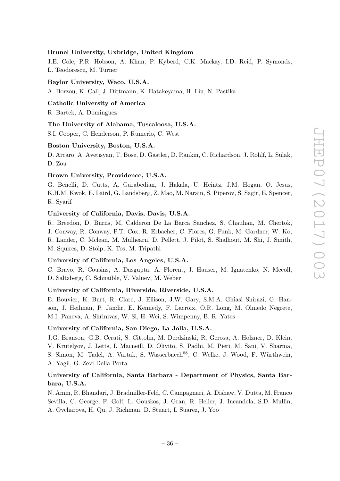### Brunel University, Uxbridge, United Kingdom

J.E. Cole, P.R. Hobson, A. Khan, P. Kyberd, C.K. Mackay, I.D. Reid, P. Symonds, L. Teodorescu, M. Turner

#### Baylor University, Waco, U.S.A.

A. Borzou, K. Call, J. Dittmann, K. Hatakeyama, H. Liu, N. Pastika

### Catholic University of America

R. Bartek, A. Dominguez

### The University of Alabama, Tuscaloosa, U.S.A.

S.I. Cooper, C. Henderson, P. Rumerio, C. West

#### Boston University, Boston, U.S.A.

D. Arcaro, A. Avetisyan, T. Bose, D. Gastler, D. Rankin, C. Richardson, J. Rohlf, L. Sulak, D. Zou

### Brown University, Providence, U.S.A.

G. Benelli, D. Cutts, A. Garabedian, J. Hakala, U. Heintz, J.M. Hogan, O. Jesus, K.H.M. Kwok, E. Laird, G. Landsberg, Z. Mao, M. Narain, S. Piperov, S. Sagir, E. Spencer, R. Syarif

### University of California, Davis, Davis, U.S.A.

R. Breedon, D. Burns, M. Calderon De La Barca Sanchez, S. Chauhan, M. Chertok, J. Conway, R. Conway, P.T. Cox, R. Erbacher, C. Flores, G. Funk, M. Gardner, W. Ko, R. Lander, C. Mclean, M. Mulhearn, D. Pellett, J. Pilot, S. Shalhout, M. Shi, J. Smith, M. Squires, D. Stolp, K. Tos, M. Tripathi

### University of California, Los Angeles, U.S.A.

C. Bravo, R. Cousins, A. Dasgupta, A. Florent, J. Hauser, M. Ignatenko, N. Mccoll, D. Saltzberg, C. Schnaible, V. Valuev, M. Weber

# University of California, Riverside, Riverside, U.S.A.

E. Bouvier, K. Burt, R. Clare, J. Ellison, J.W. Gary, S.M.A. Ghiasi Shirazi, G. Hanson, J. Heilman, P. Jandir, E. Kennedy, F. Lacroix, O.R. Long, M. Olmedo Negrete, M.I. Paneva, A. Shrinivas, W. Si, H. Wei, S. Wimpenny, B. R. Yates

### University of California, San Diego, La Jolla, U.S.A.

J.G. Branson, G.B. Cerati, S. Cittolin, M. Derdzinski, R. Gerosa, A. Holzner, D. Klein, V. Krutelyov, J. Letts, I. Macneill, D. Olivito, S. Padhi, M. Pieri, M. Sani, V. Sharma, S. Simon, M. Tadel, A. Vartak, S. Wasserbaech<sup>68</sup>, C. Welke, J. Wood, F. Würthwein, A. Yagil, G. Zevi Della Porta

# University of California, Santa Barbara - Department of Physics, Santa Barbara, U.S.A.

N. Amin, R. Bhandari, J. Bradmiller-Feld, C. Campagnari, A. Dishaw, V. Dutta, M. Franco Sevilla, C. George, F. Golf, L. Gouskos, J. Gran, R. Heller, J. Incandela, S.D. Mullin, A. Ovcharova, H. Qu, J. Richman, D. Stuart, I. Suarez, J. Yoo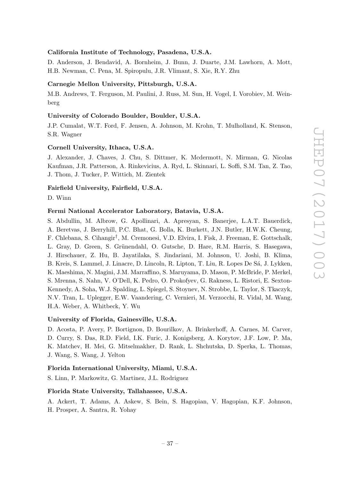### California Institute of Technology, Pasadena, U.S.A.

D. Anderson, J. Bendavid, A. Bornheim, J. Bunn, J. Duarte, J.M. Lawhorn, A. Mott, H.B. Newman, C. Pena, M. Spiropulu, J.R. Vlimant, S. Xie, R.Y. Zhu

### Carnegie Mellon University, Pittsburgh, U.S.A.

M.B. Andrews, T. Ferguson, M. Paulini, J. Russ, M. Sun, H. Vogel, I. Vorobiev, M. Weinberg

### University of Colorado Boulder, Boulder, U.S.A.

J.P. Cumalat, W.T. Ford, F. Jensen, A. Johnson, M. Krohn, T. Mulholland, K. Stenson, S.R. Wagner

### Cornell University, Ithaca, U.S.A.

J. Alexander, J. Chaves, J. Chu, S. Dittmer, K. Mcdermott, N. Mirman, G. Nicolas Kaufman, J.R. Patterson, A. Rinkevicius, A. Ryd, L. Skinnari, L. Soffi, S.M. Tan, Z. Tao, J. Thom, J. Tucker, P. Wittich, M. Zientek

#### Fairfield University, Fairfield, U.S.A.

D. Winn

### Fermi National Accelerator Laboratory, Batavia, U.S.A.

S. Abdullin, M. Albrow, G. Apollinari, A. Apresyan, S. Banerjee, L.A.T. Bauerdick, A. Beretvas, J. Berryhill, P.C. Bhat, G. Bolla, K. Burkett, J.N. Butler, H.W.K. Cheung, F. Chlebana, S. Cihangir† , M. Cremonesi, V.D. Elvira, I. Fisk, J. Freeman, E. Gottschalk, L. Gray, D. Green, S. Grünendahl, O. Gutsche, D. Hare, R.M. Harris, S. Hasegawa, J. Hirschauer, Z. Hu, B. Jayatilaka, S. Jindariani, M. Johnson, U. Joshi, B. Klima, B. Kreis, S. Lammel, J. Linacre, D. Lincoln, R. Lipton, T. Liu, R. Lopes De Sá, J. Lykken, K. Maeshima, N. Magini, J.M. Marraffino, S. Maruyama, D. Mason, P. McBride, P. Merkel, S. Mrenna, S. Nahn, V. O'Dell, K. Pedro, O. Prokofyev, G. Rakness, L. Ristori, E. Sexton-Kennedy, A. Soha, W.J. Spalding, L. Spiegel, S. Stoynev, N. Strobbe, L. Taylor, S. Tkaczyk, N.V. Tran, L. Uplegger, E.W. Vaandering, C. Vernieri, M. Verzocchi, R. Vidal, M. Wang, H.A. Weber, A. Whitbeck, Y. Wu

#### University of Florida, Gainesville, U.S.A.

D. Acosta, P. Avery, P. Bortignon, D. Bourilkov, A. Brinkerhoff, A. Carnes, M. Carver, D. Curry, S. Das, R.D. Field, I.K. Furic, J. Konigsberg, A. Korytov, J.F. Low, P. Ma, K. Matchev, H. Mei, G. Mitselmakher, D. Rank, L. Shchutska, D. Sperka, L. Thomas, J. Wang, S. Wang, J. Yelton

#### Florida International University, Miami, U.S.A.

S. Linn, P. Markowitz, G. Martinez, J.L. Rodriguez

#### Florida State University, Tallahassee, U.S.A.

A. Ackert, T. Adams, A. Askew, S. Bein, S. Hagopian, V. Hagopian, K.F. Johnson, H. Prosper, A. Santra, R. Yohay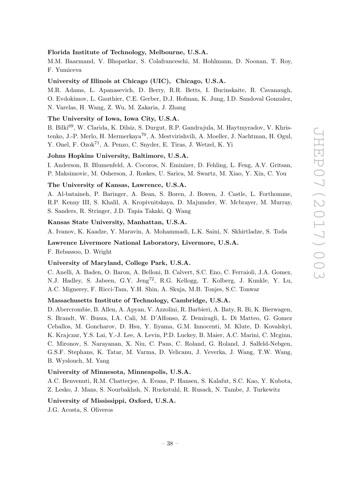### Florida Institute of Technology, Melbourne, U.S.A.

M.M. Baarmand, V. Bhopatkar, S. Colafranceschi, M. Hohlmann, D. Noonan, T. Roy, F. Yumiceva

# University of Illinois at Chicago (UIC), Chicago, U.S.A.

M.R. Adams, L. Apanasevich, D. Berry, R.R. Betts, I. Bucinskaite, R. Cavanaugh, O. Evdokimov, L. Gauthier, C.E. Gerber, D.J. Hofman, K. Jung, I.D. Sandoval Gonzalez, N. Varelas, H. Wang, Z. Wu, M. Zakaria, J. Zhang

### The University of Iowa, Iowa City, U.S.A.

B. Bilki<sup>69</sup>, W. Clarida, K. Dilsiz, S. Durgut, R.P. Gandrajula, M. Haytmyradov, V. Khristenko, J.-P. Merlo, H. Mermerkaya<sup>70</sup>, A. Mestvirishvili, A. Moeller, J. Nachtman, H. Ogul, Y. Onel, F. Ozok<sup>71</sup>, A. Penzo, C. Snyder, E. Tiras, J. Wetzel, K. Yi

### Johns Hopkins University, Baltimore, U.S.A.

I. Anderson, B. Blumenfeld, A. Cocoros, N. Eminizer, D. Fehling, L. Feng, A.V. Gritsan, P. Maksimovic, M. Osherson, J. Roskes, U. Sarica, M. Swartz, M. Xiao, Y. Xin, C. You

# The University of Kansas, Lawrence, U.S.A.

A. Al-bataineh, P. Baringer, A. Bean, S. Boren, J. Bowen, J. Castle, L. Forthomme, R.P. Kenny III, S. Khalil, A. Kropivnitskaya, D. Majumder, W. Mcbrayer, M. Murray, S. Sanders, R. Stringer, J.D. Tapia Takaki, Q. Wang

### Kansas State University, Manhattan, U.S.A.

A. Ivanov, K. Kaadze, Y. Maravin, A. Mohammadi, L.K. Saini, N. Skhirtladze, S. Toda

### Lawrence Livermore National Laboratory, Livermore, U.S.A.

F. Rebassoo, D. Wright

#### University of Maryland, College Park, U.S.A.

C. Anelli, A. Baden, O. Baron, A. Belloni, B. Calvert, S.C. Eno, C. Ferraioli, J.A. Gomez, N.J. Hadley, S. Jabeen, G.Y. Jeng72, R.G. Kellogg, T. Kolberg, J. Kunkle, Y. Lu, A.C. Mignerey, F. Ricci-Tam, Y.H. Shin, A. Skuja, M.B. Tonjes, S.C. Tonwar

# Massachusetts Institute of Technology, Cambridge, U.S.A.

D. Abercrombie, B. Allen, A. Apyan, V. Azzolini, R. Barbieri, A. Baty, R. Bi, K. Bierwagen, S. Brandt, W. Busza, I.A. Cali, M. D'Alfonso, Z. Demiragli, L. Di Matteo, G. Gomez Ceballos, M. Goncharov, D. Hsu, Y. Iiyama, G.M. Innocenti, M. Klute, D. Kovalskyi, K. Krajczar, Y.S. Lai, Y.-J. Lee, A. Levin, P.D. Luckey, B. Maier, A.C. Marini, C. Mcginn, C. Mironov, S. Narayanan, X. Niu, C. Paus, C. Roland, G. Roland, J. Salfeld-Nebgen, G.S.F. Stephans, K. Tatar, M. Varma, D. Velicanu, J. Veverka, J. Wang, T.W. Wang, B. Wyslouch, M. Yang

### University of Minnesota, Minneapolis, U.S.A.

A.C. Benvenuti, R.M. Chatterjee, A. Evans, P. Hansen, S. Kalafut, S.C. Kao, Y. Kubota, Z. Lesko, J. Mans, S. Nourbakhsh, N. Ruckstuhl, R. Rusack, N. Tambe, J. Turkewitz

### University of Mississippi, Oxford, U.S.A.

J.G. Acosta, S. Oliveros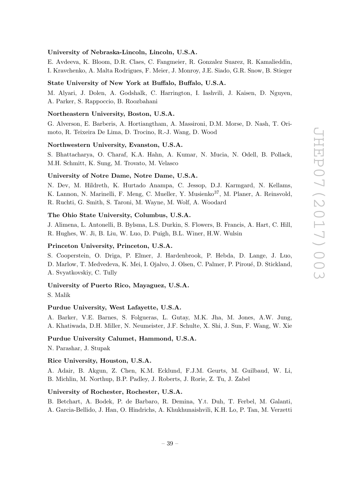#### University of Nebraska-Lincoln, Lincoln, U.S.A.

E. Avdeeva, K. Bloom, D.R. Claes, C. Fangmeier, R. Gonzalez Suarez, R. Kamalieddin, I. Kravchenko, A. Malta Rodrigues, F. Meier, J. Monroy, J.E. Siado, G.R. Snow, B. Stieger

#### State University of New York at Buffalo, Buffalo, U.S.A.

M. Alyari, J. Dolen, A. Godshalk, C. Harrington, I. Iashvili, J. Kaisen, D. Nguyen, A. Parker, S. Rappoccio, B. Roozbahani

#### Northeastern University, Boston, U.S.A.

G. Alverson, E. Barberis, A. Hortiangtham, A. Massironi, D.M. Morse, D. Nash, T. Orimoto, R. Teixeira De Lima, D. Trocino, R.-J. Wang, D. Wood

#### Northwestern University, Evanston, U.S.A.

S. Bhattacharya, O. Charaf, K.A. Hahn, A. Kumar, N. Mucia, N. Odell, B. Pollack, M.H. Schmitt, K. Sung, M. Trovato, M. Velasco

#### University of Notre Dame, Notre Dame, U.S.A.

N. Dev, M. Hildreth, K. Hurtado Anampa, C. Jessop, D.J. Karmgard, N. Kellams, K. Lannon, N. Marinelli, F. Meng, C. Mueller, Y. Musienko<sup>37</sup>, M. Planer, A. Reinsvold, R. Ruchti, G. Smith, S. Taroni, M. Wayne, M. Wolf, A. Woodard

### The Ohio State University, Columbus, U.S.A.

J. Alimena, L. Antonelli, B. Bylsma, L.S. Durkin, S. Flowers, B. Francis, A. Hart, C. Hill, R. Hughes, W. Ji, B. Liu, W. Luo, D. Puigh, B.L. Winer, H.W. Wulsin

### Princeton University, Princeton, U.S.A.

S. Cooperstein, O. Driga, P. Elmer, J. Hardenbrook, P. Hebda, D. Lange, J. Luo, D. Marlow, T. Medvedeva, K. Mei, I. Ojalvo, J. Olsen, C. Palmer, P. Piroué, D. Stickland, A. Svyatkovskiy, C. Tully

### University of Puerto Rico, Mayaguez, U.S.A.

S. Malik

#### Purdue University, West Lafayette, U.S.A.

A. Barker, V.E. Barnes, S. Folgueras, L. Gutay, M.K. Jha, M. Jones, A.W. Jung, A. Khatiwada, D.H. Miller, N. Neumeister, J.F. Schulte, X. Shi, J. Sun, F. Wang, W. Xie

#### Purdue University Calumet, Hammond, U.S.A.

N. Parashar, J. Stupak

### Rice University, Houston, U.S.A.

A. Adair, B. Akgun, Z. Chen, K.M. Ecklund, F.J.M. Geurts, M. Guilbaud, W. Li, B. Michlin, M. Northup, B.P. Padley, J. Roberts, J. Rorie, Z. Tu, J. Zabel

# University of Rochester, Rochester, U.S.A.

B. Betchart, A. Bodek, P. de Barbaro, R. Demina, Y.t. Duh, T. Ferbel, M. Galanti, A. Garcia-Bellido, J. Han, O. Hindrichs, A. Khukhunaishvili, K.H. Lo, P. Tan, M. Verzetti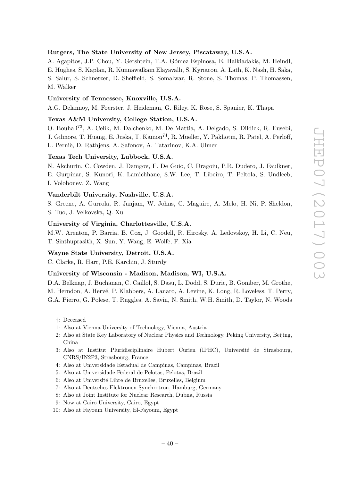### Rutgers, The State University of New Jersey, Piscataway, U.S.A.

A. Agapitos, J.P. Chou, Y. Gershtein, T.A. G´omez Espinosa, E. Halkiadakis, M. Heindl, E. Hughes, S. Kaplan, R. Kunnawalkam Elayavalli, S. Kyriacou, A. Lath, K. Nash, H. Saka, S. Salur, S. Schnetzer, D. Sheffield, S. Somalwar, R. Stone, S. Thomas, P. Thomassen, M. Walker

### University of Tennessee, Knoxville, U.S.A.

A.G. Delannoy, M. Foerster, J. Heideman, G. Riley, K. Rose, S. Spanier, K. Thapa

### Texas A&M University, College Station, U.S.A.

O. Bouhali73, A. Celik, M. Dalchenko, M. De Mattia, A. Delgado, S. Dildick, R. Eusebi, J. Gilmore, T. Huang, E. Juska, T. Kamon<sup>74</sup>, R. Mueller, Y. Pakhotin, R. Patel, A. Perloff, L. Perniè, D. Rathjens, A. Safonov, A. Tatarinov, K.A. Ulmer

### Texas Tech University, Lubbock, U.S.A.

N. Akchurin, C. Cowden, J. Damgov, F. De Guio, C. Dragoiu, P.R. Dudero, J. Faulkner, E. Gurpinar, S. Kunori, K. Lamichhane, S.W. Lee, T. Libeiro, T. Peltola, S. Undleeb, I. Volobouev, Z. Wang

### Vanderbilt University, Nashville, U.S.A.

S. Greene, A. Gurrola, R. Janjam, W. Johns, C. Maguire, A. Melo, H. Ni, P. Sheldon, S. Tuo, J. Velkovska, Q. Xu

### University of Virginia, Charlottesville, U.S.A.

M.W. Arenton, P. Barria, B. Cox, J. Goodell, R. Hirosky, A. Ledovskoy, H. Li, C. Neu, T. Sinthuprasith, X. Sun, Y. Wang, E. Wolfe, F. Xia

### Wayne State University, Detroit, U.S.A.

C. Clarke, R. Harr, P.E. Karchin, J. Sturdy

#### University of Wisconsin - Madison, Madison, WI, U.S.A.

D.A. Belknap, J. Buchanan, C. Caillol, S. Dasu, L. Dodd, S. Duric, B. Gomber, M. Grothe, M. Herndon, A. Hervé, P. Klabbers, A. Lanaro, A. Levine, K. Long, R. Loveless, T. Perry, G.A. Pierro, G. Polese, T. Ruggles, A. Savin, N. Smith, W.H. Smith, D. Taylor, N. Woods

- †: Deceased
- 1: Also at Vienna University of Technology, Vienna, Austria
- 2: Also at State Key Laboratory of Nuclear Physics and Technology, Peking University, Beijing, China
- 3: Also at Institut Pluridisciplinaire Hubert Curien (IPHC), Université de Strasbourg, CNRS/IN2P3, Strasbourg, France
- 4: Also at Universidade Estadual de Campinas, Campinas, Brazil
- 5: Also at Universidade Federal de Pelotas, Pelotas, Brazil
- 6: Also at Université Libre de Bruxelles, Bruxelles, Belgium
- 7: Also at Deutsches Elektronen-Synchrotron, Hamburg, Germany
- 8: Also at Joint Institute for Nuclear Research, Dubna, Russia
- 9: Now at Cairo University, Cairo, Egypt
- 10: Also at Fayoum University, El-Fayoum, Egypt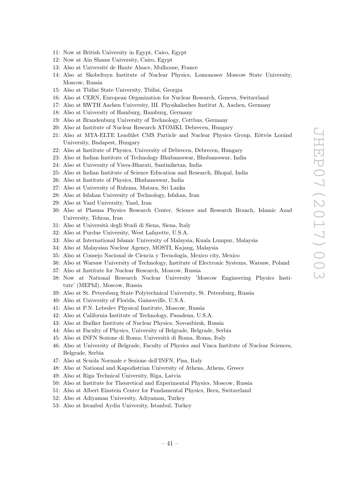- 11: Now at British University in Egypt, Cairo, Egypt
- 12: Now at Ain Shams University, Cairo, Egypt
- 13: Also at Université de Haute Alsace, Mulhouse, France
- 14: Also at Skobeltsyn Institute of Nuclear Physics, Lomonosov Moscow State University, Moscow, Russia
- 15: Also at Tbilisi State University, Tbilisi, Georgia
- 16: Also at CERN, European Organization for Nuclear Research, Geneva, Switzerland
- 17: Also at RWTH Aachen University, III. Physikalisches Institut A, Aachen, Germany
- 18: Also at University of Hamburg, Hamburg, Germany
- 19: Also at Brandenburg University of Technology, Cottbus, Germany
- 20: Also at Institute of Nuclear Research ATOMKI, Debrecen, Hungary
- 21: Also at MTA-ELTE Lendület CMS Particle and Nuclear Physics Group, Eötvös Loránd University, Budapest, Hungary
- 22: Also at Institute of Physics, University of Debrecen, Debrecen, Hungary
- 23: Also at Indian Institute of Technology Bhubaneswar, Bhubaneswar, India
- 24: Also at University of Visva-Bharati, Santiniketan, India
- 25: Also at Indian Institute of Science Education and Research, Bhopal, India
- 26: Also at Institute of Physics, Bhubaneswar, India
- 27: Also at University of Ruhuna, Matara, Sri Lanka
- 28: Also at Isfahan University of Technology, Isfahan, Iran
- 29: Also at Yazd University, Yazd, Iran
- 30: Also at Plasma Physics Research Center, Science and Research Branch, Islamic Azad University, Tehran, Iran
- 31: Also at Università degli Studi di Siena, Siena, Italy
- 32: Also at Purdue University, West Lafayette, U.S.A.
- 33: Also at International Islamic University of Malaysia, Kuala Lumpur, Malaysia
- 34: Also at Malaysian Nuclear Agency, MOSTI, Kajang, Malaysia
- 35: Also at Consejo Nacional de Ciencia y Tecnología, Mexico city, Mexico
- 36: Also at Warsaw University of Technology, Institute of Electronic Systems, Warsaw, Poland
- 37: Also at Institute for Nuclear Research, Moscow, Russia
- 38: Now at National Research Nuclear University 'Moscow Engineering Physics Institute' (MEPhI), Moscow, Russia
- 39: Also at St. Petersburg State Polytechnical University, St. Petersburg, Russia
- 40: Also at University of Florida, Gainesville, U.S.A.
- 41: Also at P.N. Lebedev Physical Institute, Moscow, Russia
- 42: Also at California Institute of Technology, Pasadena, U.S.A.
- 43: Also at Budker Institute of Nuclear Physics, Novosibirsk, Russia
- 44: Also at Faculty of Physics, University of Belgrade, Belgrade, Serbia
- 45: Also at INFN Sezione di Roma; Università di Roma, Roma, Italy
- 46: Also at University of Belgrade, Faculty of Physics and Vinca Institute of Nuclear Sciences, Belgrade, Serbia
- 47: Also at Scuola Normale e Sezione dell'INFN, Pisa, Italy
- 48: Also at National and Kapodistrian University of Athens, Athens, Greece
- 49: Also at Riga Technical University, Riga, Latvia
- 50: Also at Institute for Theoretical and Experimental Physics, Moscow, Russia
- 51: Also at Albert Einstein Center for Fundamental Physics, Bern, Switzerland
- 52: Also at Adiyaman University, Adiyaman, Turkey
- 53: Also at Istanbul Aydin University, Istanbul, Turkey